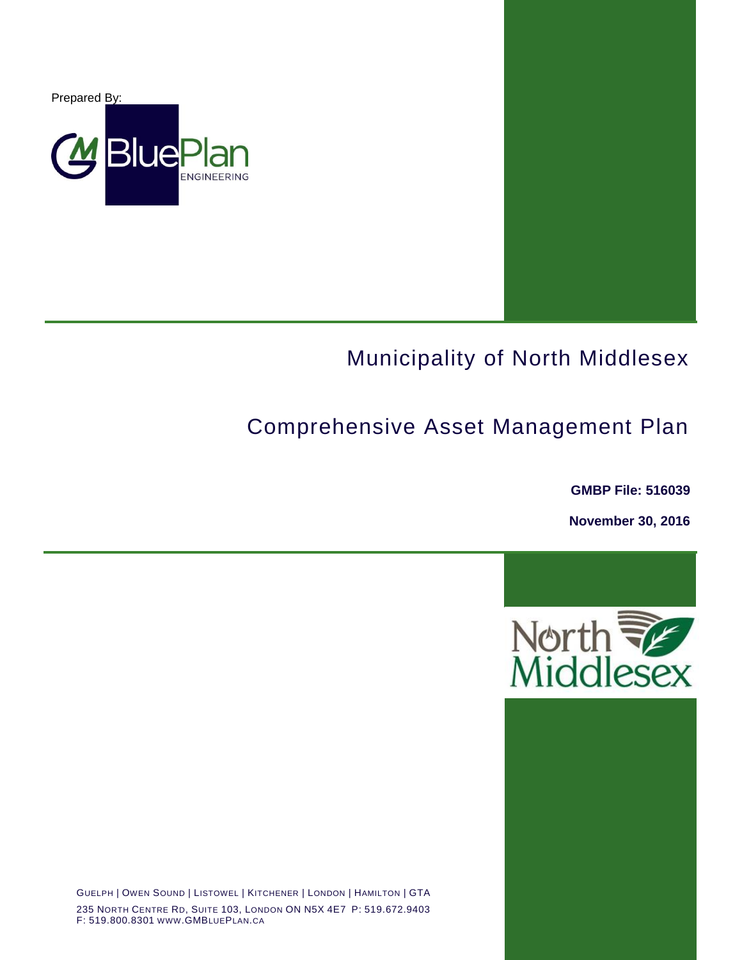

# Municipality of North Middlesex

# Comprehensive Asset Management Plan

**GMBP File: 516039**

**November 30, 2016**



GUELPH | OWEN SOUND | LISTOWEL | KITCHENER | LONDON | HAMILTON | GTA 235 NORTH CENTRE RD, SUITE 103, LONDON ON N5X 4E7 P: 519.672.9403 F: 519.800.8301 WWW.GMBLUEPLAN.CA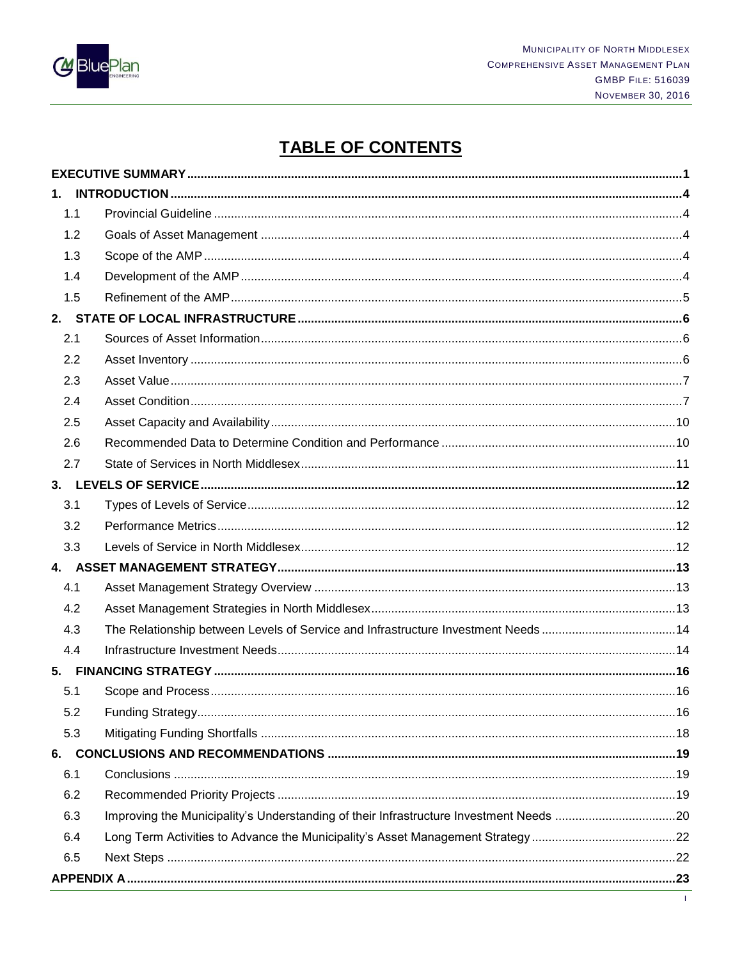

## **TABLE OF CONTENTS**

| 1.1 |                                                                                   |  |
|-----|-----------------------------------------------------------------------------------|--|
| 1.2 |                                                                                   |  |
| 1.3 |                                                                                   |  |
| 1.4 |                                                                                   |  |
| 1.5 |                                                                                   |  |
|     |                                                                                   |  |
| 2.1 |                                                                                   |  |
| 2.2 |                                                                                   |  |
| 2.3 |                                                                                   |  |
| 2.4 |                                                                                   |  |
| 2.5 |                                                                                   |  |
| 2.6 |                                                                                   |  |
| 2.7 |                                                                                   |  |
|     |                                                                                   |  |
| 3.1 |                                                                                   |  |
| 3.2 |                                                                                   |  |
| 3.3 |                                                                                   |  |
|     |                                                                                   |  |
| 4.1 |                                                                                   |  |
| 4.2 |                                                                                   |  |
| 4.3 | The Relationship between Levels of Service and Infrastructure Investment Needs 14 |  |
| 4.4 |                                                                                   |  |
|     |                                                                                   |  |
| 5.1 |                                                                                   |  |
| 5.2 |                                                                                   |  |
| 5.3 |                                                                                   |  |
| 6.  |                                                                                   |  |
| 6.1 |                                                                                   |  |
| 6.2 |                                                                                   |  |
| 6.3 |                                                                                   |  |
| 6.4 |                                                                                   |  |
| 6.5 |                                                                                   |  |
|     |                                                                                   |  |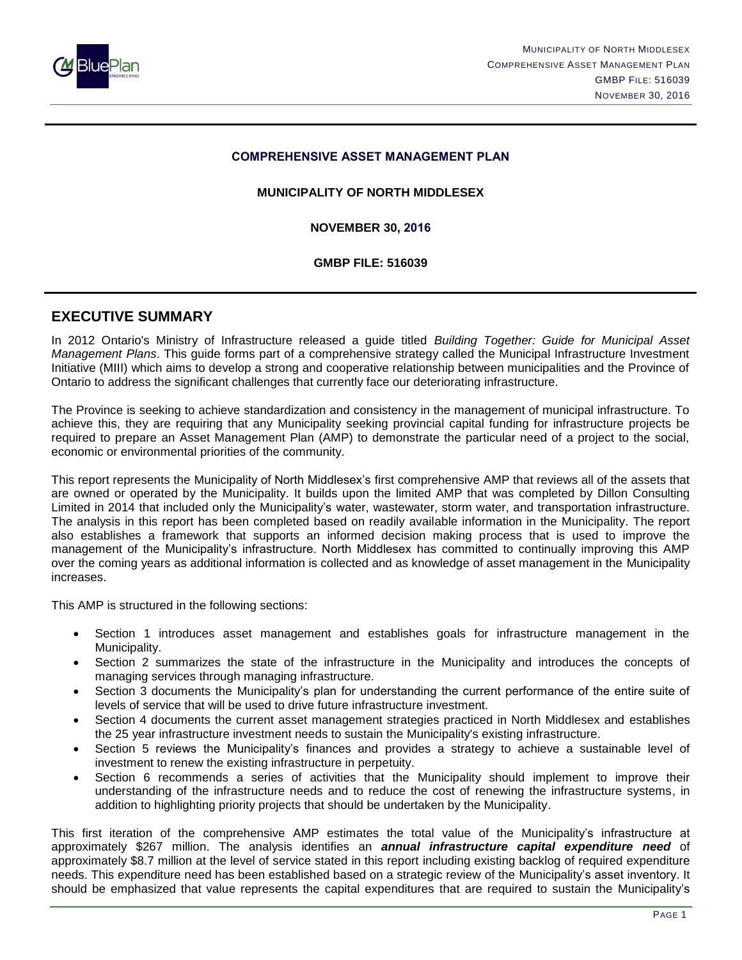

#### **COMPREHENSIVE ASSET MANAGEMENT PLAN**

#### **MUNICIPALITY OF NORTH MIDDLESEX**

**NOVEMBER 30, 2016**

**GMBP FILE: 516039**

#### <span id="page-2-0"></span>**EXECUTIVE SUMMARY**

In 2012 Ontario's Ministry of Infrastructure released a guide titled *Building Together: Guide for Municipal Asset Management Plans*. This guide forms part of a comprehensive strategy called the Municipal Infrastructure Investment Initiative (MIII) which aims to develop a strong and cooperative relationship between municipalities and the Province of Ontario to address the significant challenges that currently face our deteriorating infrastructure.

The Province is seeking to achieve standardization and consistency in the management of municipal infrastructure. To achieve this, they are requiring that any Municipality seeking provincial capital funding for infrastructure projects be required to prepare an Asset Management Plan (AMP) to demonstrate the particular need of a project to the social, economic or environmental priorities of the community.

This report represents the Municipality of North Middlesex's first comprehensive AMP that reviews all of the assets that are owned or operated by the Municipality. It builds upon the limited AMP that was completed by Dillon Consulting Limited in 2014 that included only the Municipality's water, wastewater, storm water, and transportation infrastructure. The analysis in this report has been completed based on readily available information in the Municipality. The report also establishes a framework that supports an informed decision making process that is used to improve the management of the Municipality's infrastructure. North Middlesex has committed to continually improving this AMP over the coming years as additional information is collected and as knowledge of asset management in the Municipality increases.

This AMP is structured in the following sections:

- Section 1 introduces asset management and establishes goals for infrastructure management in the Municipality.
- Section 2 summarizes the state of the infrastructure in the Municipality and introduces the concepts of managing services through managing infrastructure.
- Section 3 documents the Municipality's plan for understanding the current performance of the entire suite of levels of service that will be used to drive future infrastructure investment.
- Section 4 documents the current asset management strategies practiced in North Middlesex and establishes the 25 year infrastructure investment needs to sustain the Municipality's existing infrastructure.
- Section 5 reviews the Municipality's finances and provides a strategy to achieve a sustainable level of investment to renew the existing infrastructure in perpetuity.
- Section 6 recommends a series of activities that the Municipality should implement to improve their understanding of the infrastructure needs and to reduce the cost of renewing the infrastructure systems, in addition to highlighting priority projects that should be undertaken by the Municipality.

This first iteration of the comprehensive AMP estimates the total value of the Municipality's infrastructure at approximately \$267 million. The analysis identifies an *annual infrastructure capital expenditure need* of approximately \$8.7 million at the level of service stated in this report including existing backlog of required expenditure needs. This expenditure need has been established based on a strategic review of the Municipality's asset inventory. It should be emphasized that value represents the capital expenditures that are required to sustain the Municipality's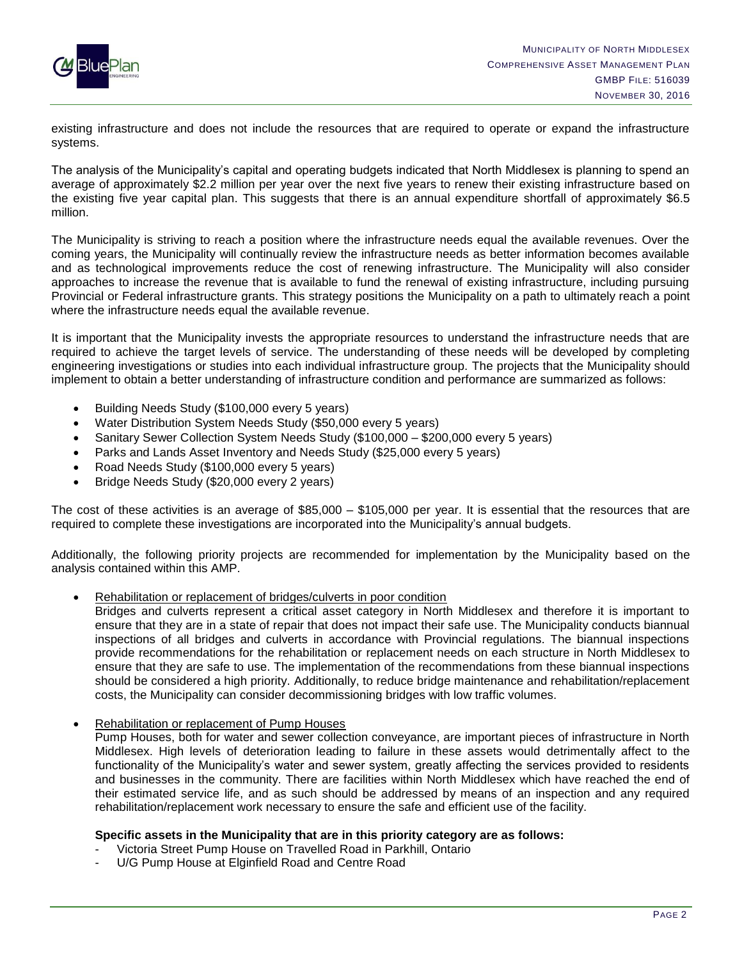

existing infrastructure and does not include the resources that are required to operate or expand the infrastructure systems.

The analysis of the Municipality's capital and operating budgets indicated that North Middlesex is planning to spend an average of approximately \$2.2 million per year over the next five years to renew their existing infrastructure based on the existing five year capital plan. This suggests that there is an annual expenditure shortfall of approximately \$6.5 million.

The Municipality is striving to reach a position where the infrastructure needs equal the available revenues. Over the coming years, the Municipality will continually review the infrastructure needs as better information becomes available and as technological improvements reduce the cost of renewing infrastructure. The Municipality will also consider approaches to increase the revenue that is available to fund the renewal of existing infrastructure, including pursuing Provincial or Federal infrastructure grants. This strategy positions the Municipality on a path to ultimately reach a point where the infrastructure needs equal the available revenue.

It is important that the Municipality invests the appropriate resources to understand the infrastructure needs that are required to achieve the target levels of service. The understanding of these needs will be developed by completing engineering investigations or studies into each individual infrastructure group. The projects that the Municipality should implement to obtain a better understanding of infrastructure condition and performance are summarized as follows:

- Building Needs Study (\$100,000 every 5 years)
- Water Distribution System Needs Study (\$50,000 every 5 years)
- Sanitary Sewer Collection System Needs Study (\$100,000 \$200,000 every 5 years)
- Parks and Lands Asset Inventory and Needs Study (\$25,000 every 5 years)
- Road Needs Study (\$100,000 every 5 years)
- Bridge Needs Study (\$20,000 every 2 years)

The cost of these activities is an average of \$85,000 – \$105,000 per year. It is essential that the resources that are required to complete these investigations are incorporated into the Municipality's annual budgets.

Additionally, the following priority projects are recommended for implementation by the Municipality based on the analysis contained within this AMP.

Rehabilitation or replacement of bridges/culverts in poor condition

Bridges and culverts represent a critical asset category in North Middlesex and therefore it is important to ensure that they are in a state of repair that does not impact their safe use. The Municipality conducts biannual inspections of all bridges and culverts in accordance with Provincial regulations. The biannual inspections provide recommendations for the rehabilitation or replacement needs on each structure in North Middlesex to ensure that they are safe to use. The implementation of the recommendations from these biannual inspections should be considered a high priority. Additionally, to reduce bridge maintenance and rehabilitation/replacement costs, the Municipality can consider decommissioning bridges with low traffic volumes.

• Rehabilitation or replacement of Pump Houses

Pump Houses, both for water and sewer collection conveyance, are important pieces of infrastructure in North Middlesex. High levels of deterioration leading to failure in these assets would detrimentally affect to the functionality of the Municipality's water and sewer system, greatly affecting the services provided to residents and businesses in the community. There are facilities within North Middlesex which have reached the end of their estimated service life, and as such should be addressed by means of an inspection and any required rehabilitation/replacement work necessary to ensure the safe and efficient use of the facility.

#### **Specific assets in the Municipality that are in this priority category are as follows:**

- Victoria Street Pump House on Travelled Road in Parkhill, Ontario
- U/G Pump House at Elginfield Road and Centre Road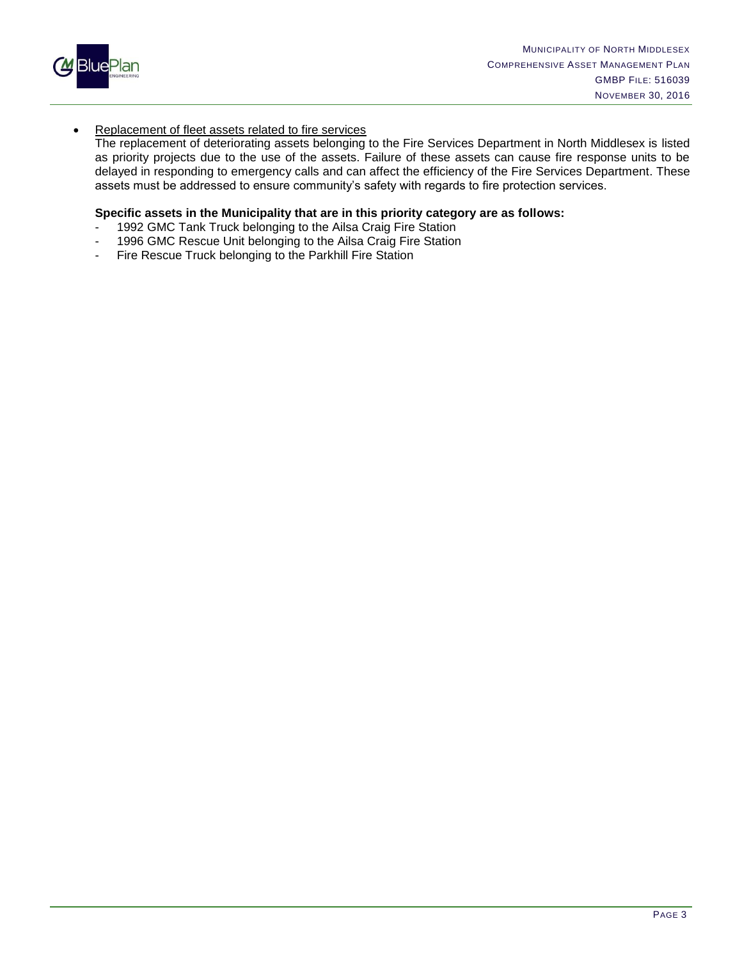

#### **Replacement of fleet assets related to fire services**

The replacement of deteriorating assets belonging to the Fire Services Department in North Middlesex is listed as priority projects due to the use of the assets. Failure of these assets can cause fire response units to be delayed in responding to emergency calls and can affect the efficiency of the Fire Services Department. These assets must be addressed to ensure community's safety with regards to fire protection services.

#### **Specific assets in the Municipality that are in this priority category are as follows:**

- 1992 GMC Tank Truck belonging to the Ailsa Craig Fire Station
- 1996 GMC Rescue Unit belonging to the Ailsa Craig Fire Station
- Fire Rescue Truck belonging to the Parkhill Fire Station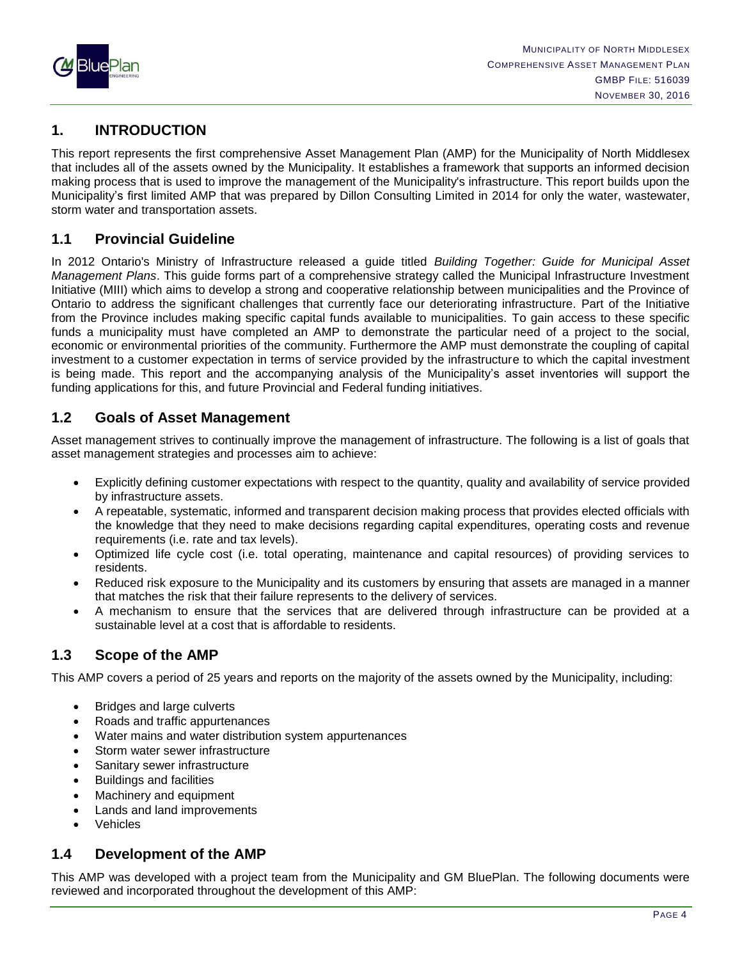

## <span id="page-5-0"></span>**1. INTRODUCTION**

This report represents the first comprehensive Asset Management Plan (AMP) for the Municipality of North Middlesex that includes all of the assets owned by the Municipality. It establishes a framework that supports an informed decision making process that is used to improve the management of the Municipality's infrastructure. This report builds upon the Municipality's first limited AMP that was prepared by Dillon Consulting Limited in 2014 for only the water, wastewater, storm water and transportation assets.

## <span id="page-5-1"></span>**1.1 Provincial Guideline**

In 2012 Ontario's Ministry of Infrastructure released a guide titled *Building Together: Guide for Municipal Asset Management Plans*. This guide forms part of a comprehensive strategy called the Municipal Infrastructure Investment Initiative (MIII) which aims to develop a strong and cooperative relationship between municipalities and the Province of Ontario to address the significant challenges that currently face our deteriorating infrastructure. Part of the Initiative from the Province includes making specific capital funds available to municipalities. To gain access to these specific funds a municipality must have completed an AMP to demonstrate the particular need of a project to the social, economic or environmental priorities of the community. Furthermore the AMP must demonstrate the coupling of capital investment to a customer expectation in terms of service provided by the infrastructure to which the capital investment is being made. This report and the accompanying analysis of the Municipality's asset inventories will support the funding applications for this, and future Provincial and Federal funding initiatives.

## <span id="page-5-2"></span>**1.2 Goals of Asset Management**

Asset management strives to continually improve the management of infrastructure. The following is a list of goals that asset management strategies and processes aim to achieve:

- Explicitly defining customer expectations with respect to the quantity, quality and availability of service provided by infrastructure assets.
- A repeatable, systematic, informed and transparent decision making process that provides elected officials with the knowledge that they need to make decisions regarding capital expenditures, operating costs and revenue requirements (i.e. rate and tax levels).
- Optimized life cycle cost (i.e. total operating, maintenance and capital resources) of providing services to residents.
- Reduced risk exposure to the Municipality and its customers by ensuring that assets are managed in a manner that matches the risk that their failure represents to the delivery of services.
- A mechanism to ensure that the services that are delivered through infrastructure can be provided at a sustainable level at a cost that is affordable to residents.

## <span id="page-5-3"></span>**1.3 Scope of the AMP**

This AMP covers a period of 25 years and reports on the majority of the assets owned by the Municipality, including:

- Bridges and large culverts
- Roads and traffic appurtenances
- Water mains and water distribution system appurtenances
- Storm water sewer infrastructure
- Sanitary sewer infrastructure
- Buildings and facilities
- Machinery and equipment
- Lands and land improvements
- Vehicles

## <span id="page-5-4"></span>**1.4 Development of the AMP**

This AMP was developed with a project team from the Municipality and GM BluePlan. The following documents were reviewed and incorporated throughout the development of this AMP: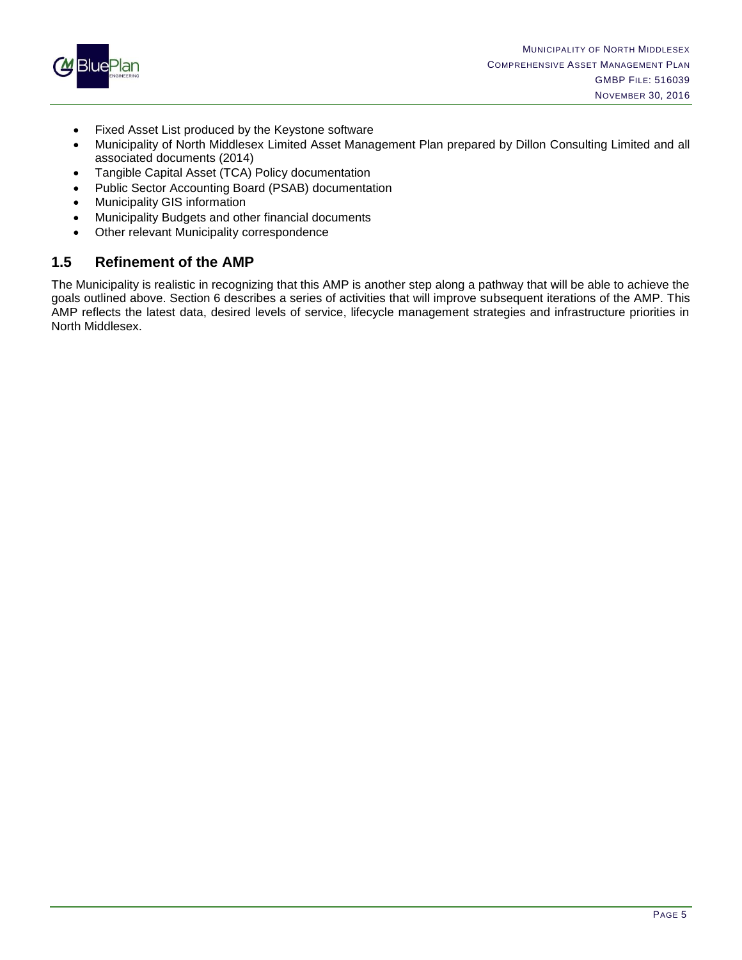

- Fixed Asset List produced by the Keystone software
- Municipality of North Middlesex Limited Asset Management Plan prepared by Dillon Consulting Limited and all associated documents (2014)
- Tangible Capital Asset (TCA) Policy documentation
- Public Sector Accounting Board (PSAB) documentation
- Municipality GIS information
- Municipality Budgets and other financial documents
- Other relevant Municipality correspondence

## <span id="page-6-0"></span>**1.5 Refinement of the AMP**

The Municipality is realistic in recognizing that this AMP is another step along a pathway that will be able to achieve the goals outlined above. Section 6 describes a series of activities that will improve subsequent iterations of the AMP. This AMP reflects the latest data, desired levels of service, lifecycle management strategies and infrastructure priorities in North Middlesex.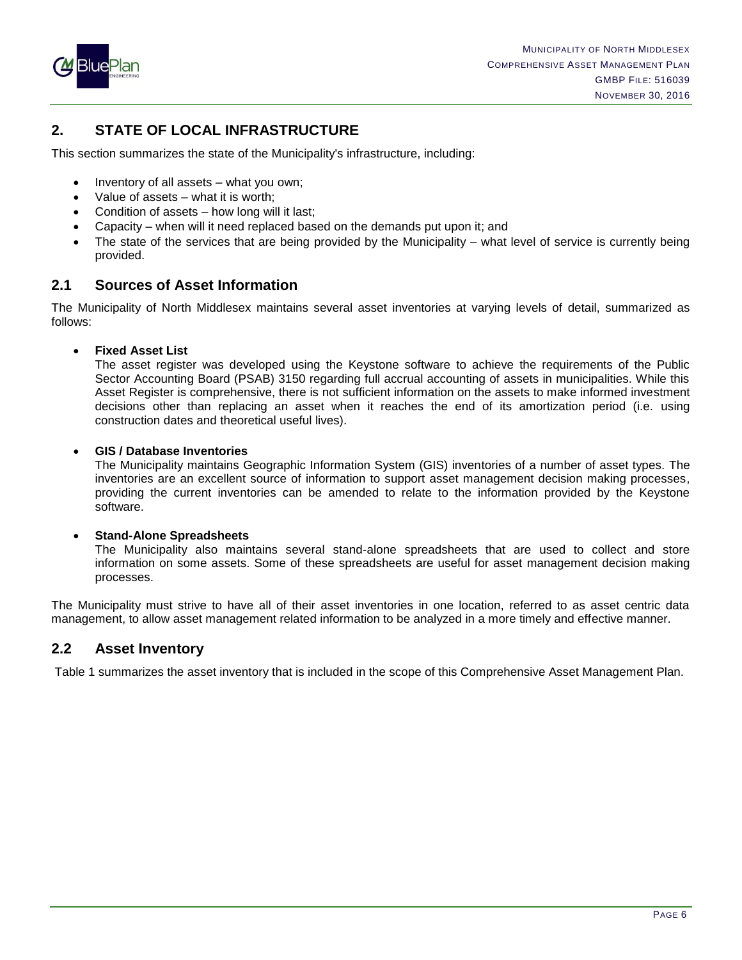

## <span id="page-7-0"></span>**2. STATE OF LOCAL INFRASTRUCTURE**

This section summarizes the state of the Municipality's infrastructure, including:

- Inventory of all assets what you own;
- Value of assets what it is worth;
- Condition of assets how long will it last;
- Capacity when will it need replaced based on the demands put upon it; and
- The state of the services that are being provided by the Municipality what level of service is currently being provided.

## <span id="page-7-1"></span>**2.1 Sources of Asset Information**

The Municipality of North Middlesex maintains several asset inventories at varying levels of detail, summarized as follows:

**Fixed Asset List**

The asset register was developed using the Keystone software to achieve the requirements of the Public Sector Accounting Board (PSAB) 3150 regarding full accrual accounting of assets in municipalities. While this Asset Register is comprehensive, there is not sufficient information on the assets to make informed investment decisions other than replacing an asset when it reaches the end of its amortization period (i.e. using construction dates and theoretical useful lives).

#### **GIS / Database Inventories**

The Municipality maintains Geographic Information System (GIS) inventories of a number of asset types. The inventories are an excellent source of information to support asset management decision making processes, providing the current inventories can be amended to relate to the information provided by the Keystone software.

#### **Stand-Alone Spreadsheets**

The Municipality also maintains several stand-alone spreadsheets that are used to collect and store information on some assets. Some of these spreadsheets are useful for asset management decision making processes.

The Municipality must strive to have all of their asset inventories in one location, referred to as asset centric data management, to allow asset management related information to be analyzed in a more timely and effective manner.

## <span id="page-7-2"></span>**2.2 Asset Inventory**

Table 1 summarizes the asset inventory that is included in the scope of this Comprehensive Asset Management Plan.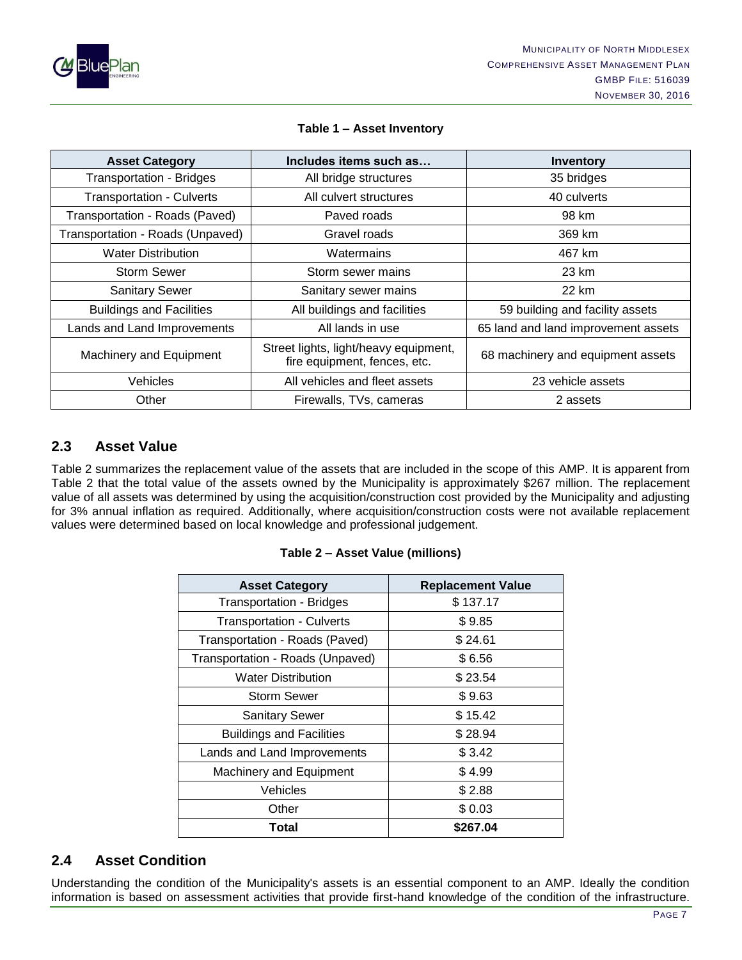

#### **Table 1 – Asset Inventory**

| <b>Asset Category</b>                                    | Includes items such as                                                | <b>Inventory</b>                    |
|----------------------------------------------------------|-----------------------------------------------------------------------|-------------------------------------|
| <b>Transportation - Bridges</b><br>All bridge structures |                                                                       | 35 bridges                          |
| <b>Transportation - Culverts</b>                         | All culvert structures                                                | 40 culverts                         |
| Transportation - Roads (Paved)                           | Paved roads                                                           | 98 km                               |
| Transportation - Roads (Unpaved)                         | Gravel roads                                                          | 369 km                              |
| <b>Water Distribution</b>                                | Watermains                                                            | 467 km                              |
| <b>Storm Sewer</b>                                       | Storm sewer mains                                                     | 23 km                               |
| <b>Sanitary Sewer</b>                                    | Sanitary sewer mains                                                  | 22 km                               |
| <b>Buildings and Facilities</b>                          | All buildings and facilities                                          | 59 building and facility assets     |
| Lands and Land Improvements                              | All lands in use                                                      | 65 land and land improvement assets |
| Machinery and Equipment                                  | Street lights, light/heavy equipment,<br>fire equipment, fences, etc. | 68 machinery and equipment assets   |
| <b>Vehicles</b>                                          | All vehicles and fleet assets                                         | 23 vehicle assets                   |
| Other                                                    | Firewalls, TVs, cameras                                               | 2 assets                            |

## <span id="page-8-0"></span>**2.3 Asset Value**

Table 2 summarizes the replacement value of the assets that are included in the scope of this AMP. It is apparent from Table 2 that the total value of the assets owned by the Municipality is approximately \$267 million. The replacement value of all assets was determined by using the acquisition/construction cost provided by the Municipality and adjusting for 3% annual inflation as required. Additionally, where acquisition/construction costs were not available replacement values were determined based on local knowledge and professional judgement.

| <b>Asset Category</b>            | <b>Replacement Value</b> |
|----------------------------------|--------------------------|
| <b>Transportation - Bridges</b>  | \$137.17                 |
| <b>Transportation - Culverts</b> | \$9.85                   |
| Transportation - Roads (Paved)   | \$24.61                  |
| Transportation - Roads (Unpaved) | \$6.56                   |
| <b>Water Distribution</b>        | \$23.54                  |
| <b>Storm Sewer</b>               | \$9.63                   |
| <b>Sanitary Sewer</b>            | \$15.42                  |
| <b>Buildings and Facilities</b>  | \$28.94                  |
| Lands and Land Improvements      | \$3.42                   |
| Machinery and Equipment          | \$4.99                   |
| Vehicles                         | \$2.88                   |
| Other                            | \$0.03                   |
| Total                            | \$267.04                 |

#### **Table 2 – Asset Value (millions)**

## <span id="page-8-1"></span>**2.4 Asset Condition**

Understanding the condition of the Municipality's assets is an essential component to an AMP. Ideally the condition information is based on assessment activities that provide first-hand knowledge of the condition of the infrastructure.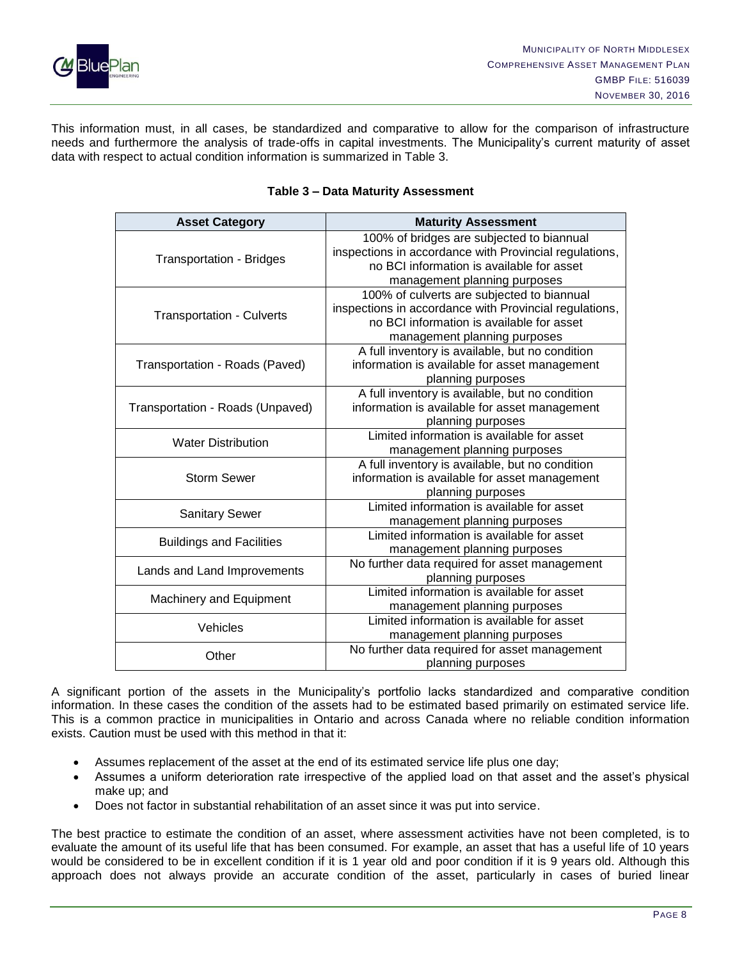

This information must, in all cases, be standardized and comparative to allow for the comparison of infrastructure needs and furthermore the analysis of trade-offs in capital investments. The Municipality's current maturity of asset data with respect to actual condition information is summarized in Table 3.

| <b>Asset Category</b>            | <b>Maturity Assessment</b>                             |  |  |
|----------------------------------|--------------------------------------------------------|--|--|
|                                  | 100% of bridges are subjected to biannual              |  |  |
| <b>Transportation - Bridges</b>  | inspections in accordance with Provincial regulations, |  |  |
|                                  | no BCI information is available for asset              |  |  |
|                                  | management planning purposes                           |  |  |
|                                  | 100% of culverts are subjected to biannual             |  |  |
| <b>Transportation - Culverts</b> | inspections in accordance with Provincial regulations, |  |  |
|                                  | no BCI information is available for asset              |  |  |
|                                  | management planning purposes                           |  |  |
|                                  | A full inventory is available, but no condition        |  |  |
| Transportation - Roads (Paved)   | information is available for asset management          |  |  |
|                                  | planning purposes                                      |  |  |
|                                  | A full inventory is available, but no condition        |  |  |
| Transportation - Roads (Unpaved) | information is available for asset management          |  |  |
|                                  | planning purposes                                      |  |  |
| <b>Water Distribution</b>        | Limited information is available for asset             |  |  |
|                                  | management planning purposes                           |  |  |
|                                  | A full inventory is available, but no condition        |  |  |
| <b>Storm Sewer</b>               | information is available for asset management          |  |  |
|                                  | planning purposes                                      |  |  |
| <b>Sanitary Sewer</b>            | Limited information is available for asset             |  |  |
|                                  | management planning purposes                           |  |  |
| <b>Buildings and Facilities</b>  | Limited information is available for asset             |  |  |
|                                  | management planning purposes                           |  |  |
| Lands and Land Improvements      | No further data required for asset management          |  |  |
|                                  | planning purposes                                      |  |  |
| Machinery and Equipment          | Limited information is available for asset             |  |  |
|                                  | management planning purposes                           |  |  |
| Vehicles                         | Limited information is available for asset             |  |  |
|                                  | management planning purposes                           |  |  |
| Other                            | No further data required for asset management          |  |  |
|                                  | planning purposes                                      |  |  |

#### **Table 3 – Data Maturity Assessment**

A significant portion of the assets in the Municipality's portfolio lacks standardized and comparative condition information. In these cases the condition of the assets had to be estimated based primarily on estimated service life. This is a common practice in municipalities in Ontario and across Canada where no reliable condition information exists. Caution must be used with this method in that it:

- Assumes replacement of the asset at the end of its estimated service life plus one day;
- Assumes a uniform deterioration rate irrespective of the applied load on that asset and the asset's physical make up; and
- Does not factor in substantial rehabilitation of an asset since it was put into service.

The best practice to estimate the condition of an asset, where assessment activities have not been completed, is to evaluate the amount of its useful life that has been consumed. For example, an asset that has a useful life of 10 years would be considered to be in excellent condition if it is 1 year old and poor condition if it is 9 years old. Although this approach does not always provide an accurate condition of the asset, particularly in cases of buried linear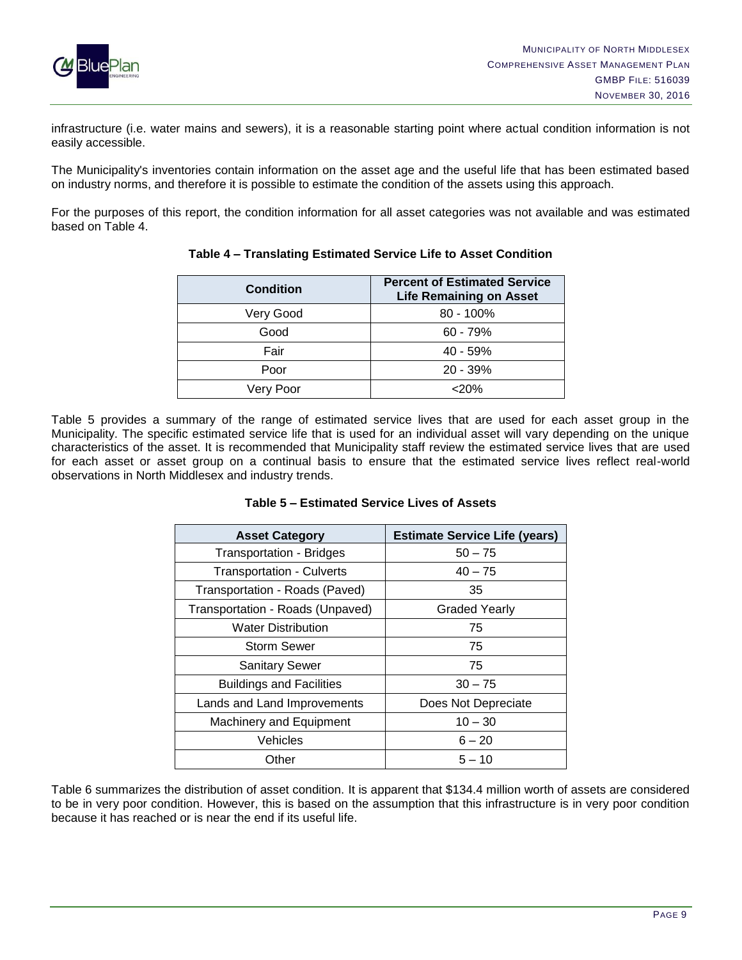

infrastructure (i.e. water mains and sewers), it is a reasonable starting point where actual condition information is not easily accessible.

The Municipality's inventories contain information on the asset age and the useful life that has been estimated based on industry norms, and therefore it is possible to estimate the condition of the assets using this approach.

For the purposes of this report, the condition information for all asset categories was not available and was estimated based on Table 4.

| <b>Condition</b> | <b>Percent of Estimated Service</b><br><b>Life Remaining on Asset</b> |  |  |
|------------------|-----------------------------------------------------------------------|--|--|
| Very Good        | $80 - 100\%$                                                          |  |  |
| Good             | $60 - 79%$                                                            |  |  |
| Fair             | 40 - 59%                                                              |  |  |
| Poor             | $20 - 39%$                                                            |  |  |
| Very Poor        | $<$ 20%                                                               |  |  |

#### **Table 4 – Translating Estimated Service Life to Asset Condition**

Table 5 provides a summary of the range of estimated service lives that are used for each asset group in the Municipality. The specific estimated service life that is used for an individual asset will vary depending on the unique characteristics of the asset. It is recommended that Municipality staff review the estimated service lives that are used for each asset or asset group on a continual basis to ensure that the estimated service lives reflect real-world observations in North Middlesex and industry trends.

| <b>Asset Category</b>            | <b>Estimate Service Life (years)</b> |
|----------------------------------|--------------------------------------|
| <b>Transportation - Bridges</b>  | $50 - 75$                            |
| <b>Transportation - Culverts</b> | $40 - 75$                            |
| Transportation - Roads (Paved)   | 35                                   |
| Transportation - Roads (Unpaved) | <b>Graded Yearly</b>                 |
| <b>Water Distribution</b>        | 75                                   |
| <b>Storm Sewer</b>               | 75                                   |
| <b>Sanitary Sewer</b>            | 75                                   |
| <b>Buildings and Facilities</b>  | $30 - 75$                            |
| Lands and Land Improvements      | Does Not Depreciate                  |
| Machinery and Equipment          | $10 - 30$                            |
| Vehicles                         | $6 - 20$                             |
| Other                            | $5 - 10$                             |

#### **Table 5 – Estimated Service Lives of Assets**

Table 6 summarizes the distribution of asset condition. It is apparent that \$134.4 million worth of assets are considered to be in very poor condition. However, this is based on the assumption that this infrastructure is in very poor condition because it has reached or is near the end if its useful life.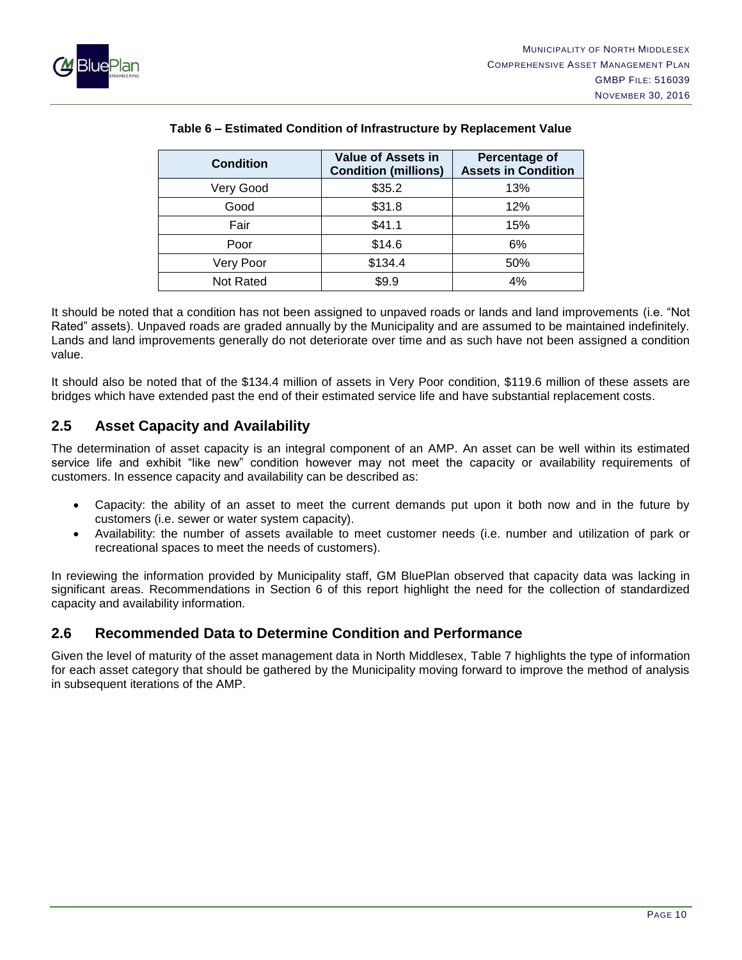

| <b>Condition</b> | <b>Value of Assets in</b><br><b>Condition (millions)</b> | Percentage of<br><b>Assets in Condition</b> |
|------------------|----------------------------------------------------------|---------------------------------------------|
| Very Good        | \$35.2                                                   | 13%                                         |
| Good             | \$31.8                                                   | 12%                                         |
| Fair             | \$41.1                                                   | 15%                                         |
| Poor             | \$14.6                                                   | 6%                                          |
| Very Poor        | \$134.4                                                  | 50%                                         |
| Not Rated        | \$9.9                                                    | 4%                                          |

#### **Table 6 – Estimated Condition of Infrastructure by Replacement Value**

It should be noted that a condition has not been assigned to unpaved roads or lands and land improvements (i.e. "Not Rated" assets). Unpaved roads are graded annually by the Municipality and are assumed to be maintained indefinitely. Lands and land improvements generally do not deteriorate over time and as such have not been assigned a condition value.

It should also be noted that of the \$134.4 million of assets in Very Poor condition, \$119.6 million of these assets are bridges which have extended past the end of their estimated service life and have substantial replacement costs.

## <span id="page-11-0"></span>**2.5 Asset Capacity and Availability**

The determination of asset capacity is an integral component of an AMP. An asset can be well within its estimated service life and exhibit "like new" condition however may not meet the capacity or availability requirements of customers. In essence capacity and availability can be described as:

- Capacity: the ability of an asset to meet the current demands put upon it both now and in the future by customers (i.e. sewer or water system capacity).
- Availability: the number of assets available to meet customer needs (i.e. number and utilization of park or recreational spaces to meet the needs of customers).

In reviewing the information provided by Municipality staff, GM BluePlan observed that capacity data was lacking in significant areas. Recommendations in Section 6 of this report highlight the need for the collection of standardized capacity and availability information.

## <span id="page-11-1"></span>**2.6 Recommended Data to Determine Condition and Performance**

Given the level of maturity of the asset management data in North Middlesex, Table 7 highlights the type of information for each asset category that should be gathered by the Municipality moving forward to improve the method of analysis in subsequent iterations of the AMP.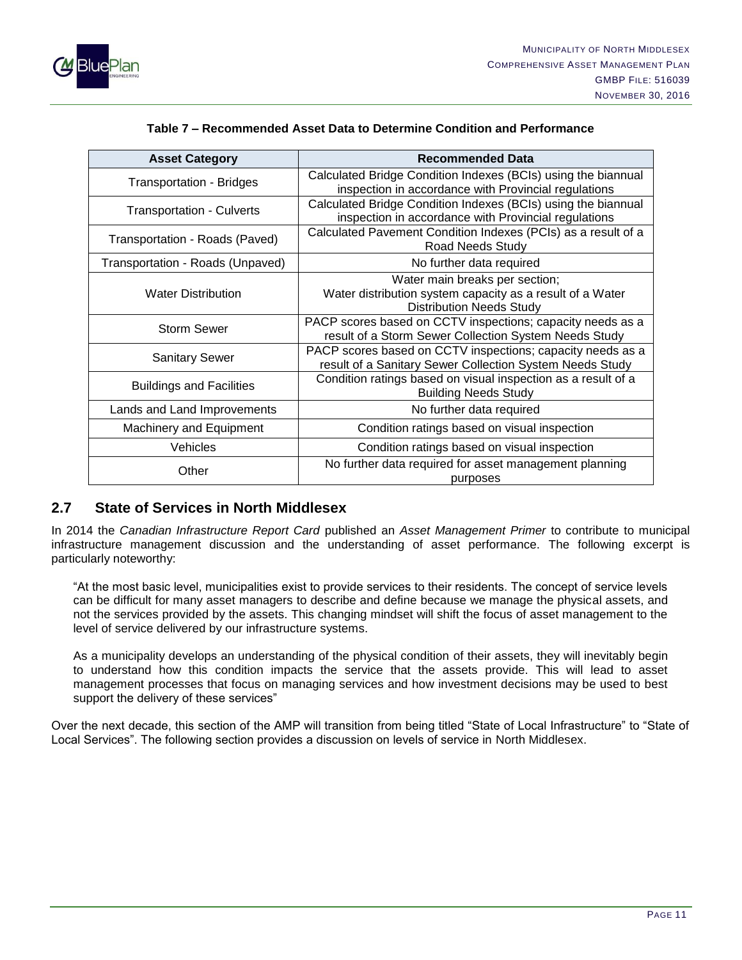

| <b>Asset Category</b>            | <b>Recommended Data</b>                                                                                                        |
|----------------------------------|--------------------------------------------------------------------------------------------------------------------------------|
| <b>Transportation - Bridges</b>  | Calculated Bridge Condition Indexes (BCIs) using the biannual<br>inspection in accordance with Provincial regulations          |
| <b>Transportation - Culverts</b> | Calculated Bridge Condition Indexes (BCIs) using the biannual<br>inspection in accordance with Provincial regulations          |
| Transportation - Roads (Paved)   | Calculated Pavement Condition Indexes (PCIs) as a result of a<br>Road Needs Study                                              |
| Transportation - Roads (Unpaved) | No further data required                                                                                                       |
| <b>Water Distribution</b>        | Water main breaks per section;<br>Water distribution system capacity as a result of a Water<br><b>Distribution Needs Study</b> |
| <b>Storm Sewer</b>               | PACP scores based on CCTV inspections; capacity needs as a<br>result of a Storm Sewer Collection System Needs Study            |
| <b>Sanitary Sewer</b>            | PACP scores based on CCTV inspections; capacity needs as a<br>result of a Sanitary Sewer Collection System Needs Study         |
| <b>Buildings and Facilities</b>  | Condition ratings based on visual inspection as a result of a<br><b>Building Needs Study</b>                                   |
| Lands and Land Improvements      | No further data required                                                                                                       |
| Machinery and Equipment          | Condition ratings based on visual inspection                                                                                   |
| Vehicles                         | Condition ratings based on visual inspection                                                                                   |
| Other                            | No further data required for asset management planning<br>purposes                                                             |

#### **Table 7 – Recommended Asset Data to Determine Condition and Performance**

## <span id="page-12-0"></span>**2.7 State of Services in North Middlesex**

In 2014 the *Canadian Infrastructure Report Card* published an *Asset Management Primer* to contribute to municipal infrastructure management discussion and the understanding of asset performance. The following excerpt is particularly noteworthy:

"At the most basic level, municipalities exist to provide services to their residents. The concept of service levels can be difficult for many asset managers to describe and define because we manage the physical assets, and not the services provided by the assets. This changing mindset will shift the focus of asset management to the level of service delivered by our infrastructure systems.

As a municipality develops an understanding of the physical condition of their assets, they will inevitably begin to understand how this condition impacts the service that the assets provide. This will lead to asset management processes that focus on managing services and how investment decisions may be used to best support the delivery of these services"

Over the next decade, this section of the AMP will transition from being titled "State of Local Infrastructure" to "State of Local Services". The following section provides a discussion on levels of service in North Middlesex.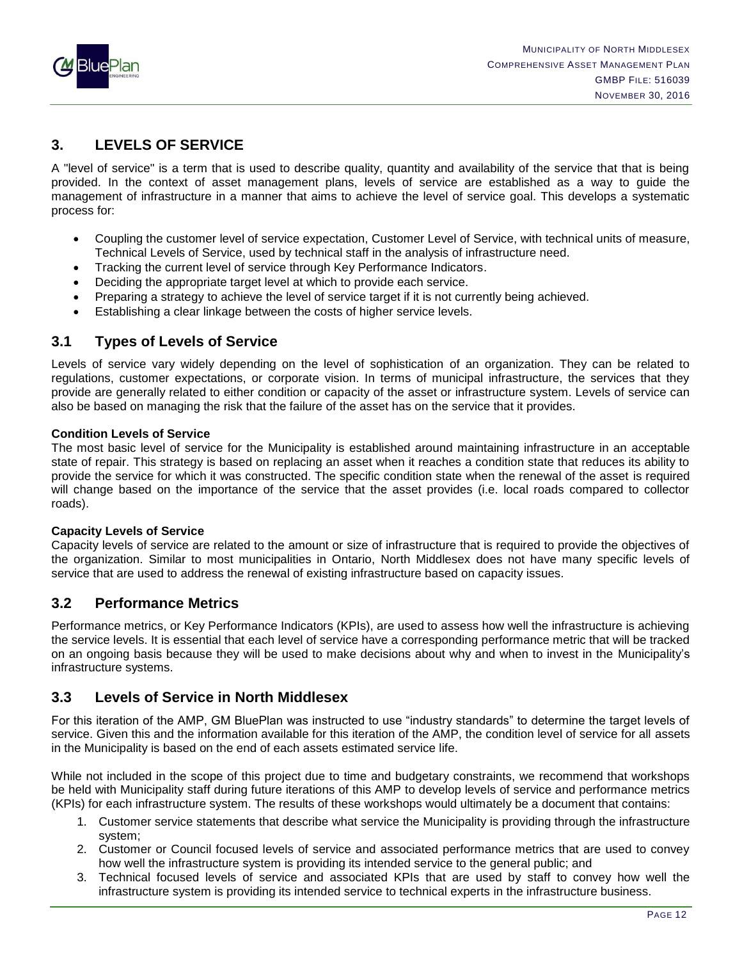

## <span id="page-13-0"></span>**3. LEVELS OF SERVICE**

A "level of service" is a term that is used to describe quality, quantity and availability of the service that that is being provided. In the context of asset management plans, levels of service are established as a way to guide the management of infrastructure in a manner that aims to achieve the level of service goal. This develops a systematic process for:

- Coupling the customer level of service expectation, Customer Level of Service, with technical units of measure, Technical Levels of Service, used by technical staff in the analysis of infrastructure need.
- Tracking the current level of service through Key Performance Indicators.
- Deciding the appropriate target level at which to provide each service.
- Preparing a strategy to achieve the level of service target if it is not currently being achieved.
- Establishing a clear linkage between the costs of higher service levels.

## <span id="page-13-1"></span>**3.1 Types of Levels of Service**

Levels of service vary widely depending on the level of sophistication of an organization. They can be related to regulations, customer expectations, or corporate vision. In terms of municipal infrastructure, the services that they provide are generally related to either condition or capacity of the asset or infrastructure system. Levels of service can also be based on managing the risk that the failure of the asset has on the service that it provides.

#### **Condition Levels of Service**

The most basic level of service for the Municipality is established around maintaining infrastructure in an acceptable state of repair. This strategy is based on replacing an asset when it reaches a condition state that reduces its ability to provide the service for which it was constructed. The specific condition state when the renewal of the asset is required will change based on the importance of the service that the asset provides (i.e. local roads compared to collector roads).

#### **Capacity Levels of Service**

Capacity levels of service are related to the amount or size of infrastructure that is required to provide the objectives of the organization. Similar to most municipalities in Ontario, North Middlesex does not have many specific levels of service that are used to address the renewal of existing infrastructure based on capacity issues.

## <span id="page-13-2"></span>**3.2 Performance Metrics**

Performance metrics, or Key Performance Indicators (KPIs), are used to assess how well the infrastructure is achieving the service levels. It is essential that each level of service have a corresponding performance metric that will be tracked on an ongoing basis because they will be used to make decisions about why and when to invest in the Municipality's infrastructure systems.

## <span id="page-13-3"></span>**3.3 Levels of Service in North Middlesex**

For this iteration of the AMP, GM BluePlan was instructed to use "industry standards" to determine the target levels of service. Given this and the information available for this iteration of the AMP, the condition level of service for all assets in the Municipality is based on the end of each assets estimated service life.

While not included in the scope of this project due to time and budgetary constraints, we recommend that workshops be held with Municipality staff during future iterations of this AMP to develop levels of service and performance metrics (KPIs) for each infrastructure system. The results of these workshops would ultimately be a document that contains:

- 1. Customer service statements that describe what service the Municipality is providing through the infrastructure system;
- 2. Customer or Council focused levels of service and associated performance metrics that are used to convey how well the infrastructure system is providing its intended service to the general public; and
- 3. Technical focused levels of service and associated KPIs that are used by staff to convey how well the infrastructure system is providing its intended service to technical experts in the infrastructure business.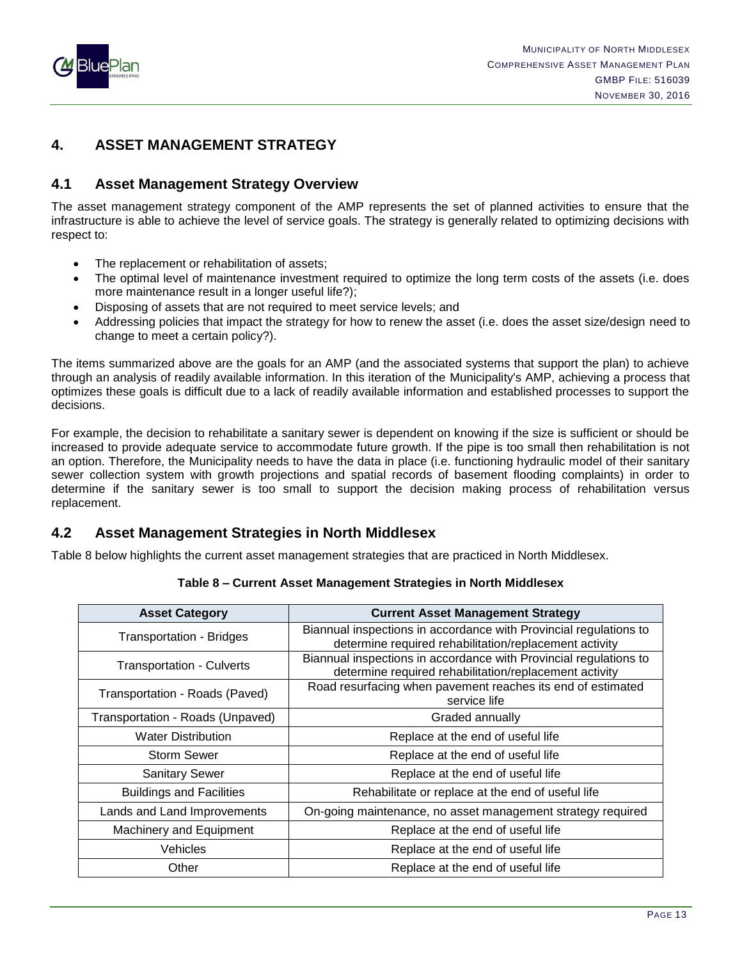

## <span id="page-14-0"></span>**4. ASSET MANAGEMENT STRATEGY**

## <span id="page-14-1"></span>**4.1 Asset Management Strategy Overview**

The asset management strategy component of the AMP represents the set of planned activities to ensure that the infrastructure is able to achieve the level of service goals. The strategy is generally related to optimizing decisions with respect to:

- The replacement or rehabilitation of assets;
- The optimal level of maintenance investment required to optimize the long term costs of the assets (i.e. does more maintenance result in a longer useful life?);
- Disposing of assets that are not required to meet service levels; and
- Addressing policies that impact the strategy for how to renew the asset (i.e. does the asset size/design need to change to meet a certain policy?).

The items summarized above are the goals for an AMP (and the associated systems that support the plan) to achieve through an analysis of readily available information. In this iteration of the Municipality's AMP, achieving a process that optimizes these goals is difficult due to a lack of readily available information and established processes to support the decisions.

For example, the decision to rehabilitate a sanitary sewer is dependent on knowing if the size is sufficient or should be increased to provide adequate service to accommodate future growth. If the pipe is too small then rehabilitation is not an option. Therefore, the Municipality needs to have the data in place (i.e. functioning hydraulic model of their sanitary sewer collection system with growth projections and spatial records of basement flooding complaints) in order to determine if the sanitary sewer is too small to support the decision making process of rehabilitation versus replacement.

## <span id="page-14-2"></span>**4.2 Asset Management Strategies in North Middlesex**

Table 8 below highlights the current asset management strategies that are practiced in North Middlesex.

| <b>Asset Category</b>            | <b>Current Asset Management Strategy</b>                                                                                    |  |
|----------------------------------|-----------------------------------------------------------------------------------------------------------------------------|--|
| <b>Transportation - Bridges</b>  | Biannual inspections in accordance with Provincial regulations to<br>determine required rehabilitation/replacement activity |  |
| Transportation - Culverts        | Biannual inspections in accordance with Provincial regulations to<br>determine required rehabilitation/replacement activity |  |
| Transportation - Roads (Paved)   | Road resurfacing when pavement reaches its end of estimated<br>service life                                                 |  |
| Transportation - Roads (Unpaved) | Graded annually                                                                                                             |  |
| <b>Water Distribution</b>        | Replace at the end of useful life                                                                                           |  |
| <b>Storm Sewer</b>               | Replace at the end of useful life                                                                                           |  |
| <b>Sanitary Sewer</b>            | Replace at the end of useful life                                                                                           |  |
| <b>Buildings and Facilities</b>  | Rehabilitate or replace at the end of useful life                                                                           |  |
| Lands and Land Improvements      | On-going maintenance, no asset management strategy required                                                                 |  |
| Machinery and Equipment          | Replace at the end of useful life                                                                                           |  |
| Vehicles                         | Replace at the end of useful life                                                                                           |  |
| Other                            | Replace at the end of useful life                                                                                           |  |

#### **Table 8 – Current Asset Management Strategies in North Middlesex**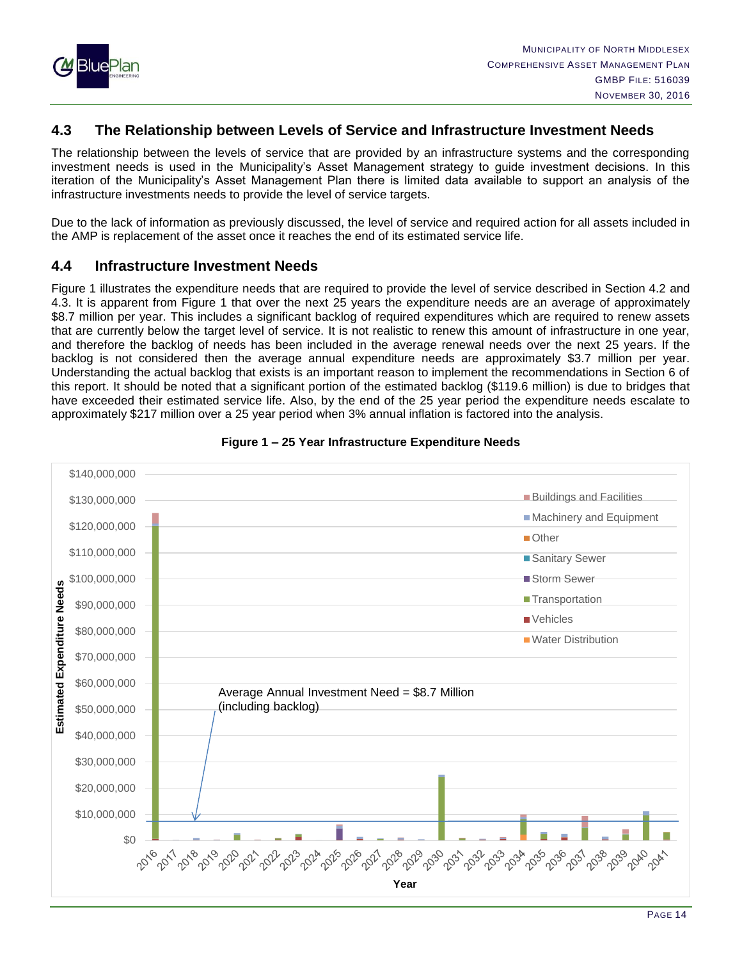

## <span id="page-15-0"></span>**4.3 The Relationship between Levels of Service and Infrastructure Investment Needs**

The relationship between the levels of service that are provided by an infrastructure systems and the corresponding investment needs is used in the Municipality's Asset Management strategy to guide investment decisions. In this iteration of the Municipality's Asset Management Plan there is limited data available to support an analysis of the infrastructure investments needs to provide the level of service targets.

Due to the lack of information as previously discussed, the level of service and required action for all assets included in the AMP is replacement of the asset once it reaches the end of its estimated service life.

## <span id="page-15-1"></span>**4.4 Infrastructure Investment Needs**

Figure 1 illustrates the expenditure needs that are required to provide the level of service described in Section 4.2 and 4.3. It is apparent from Figure 1 that over the next 25 years the expenditure needs are an average of approximately \$8.7 million per year. This includes a significant backlog of required expenditures which are required to renew assets that are currently below the target level of service. It is not realistic to renew this amount of infrastructure in one year, and therefore the backlog of needs has been included in the average renewal needs over the next 25 years. If the backlog is not considered then the average annual expenditure needs are approximately \$3.7 million per year. Understanding the actual backlog that exists is an important reason to implement the recommendations in Section 6 of this report. It should be noted that a significant portion of the estimated backlog (\$119.6 million) is due to bridges that have exceeded their estimated service life. Also, by the end of the 25 year period the expenditure needs escalate to approximately \$217 million over a 25 year period when 3% annual inflation is factored into the analysis.



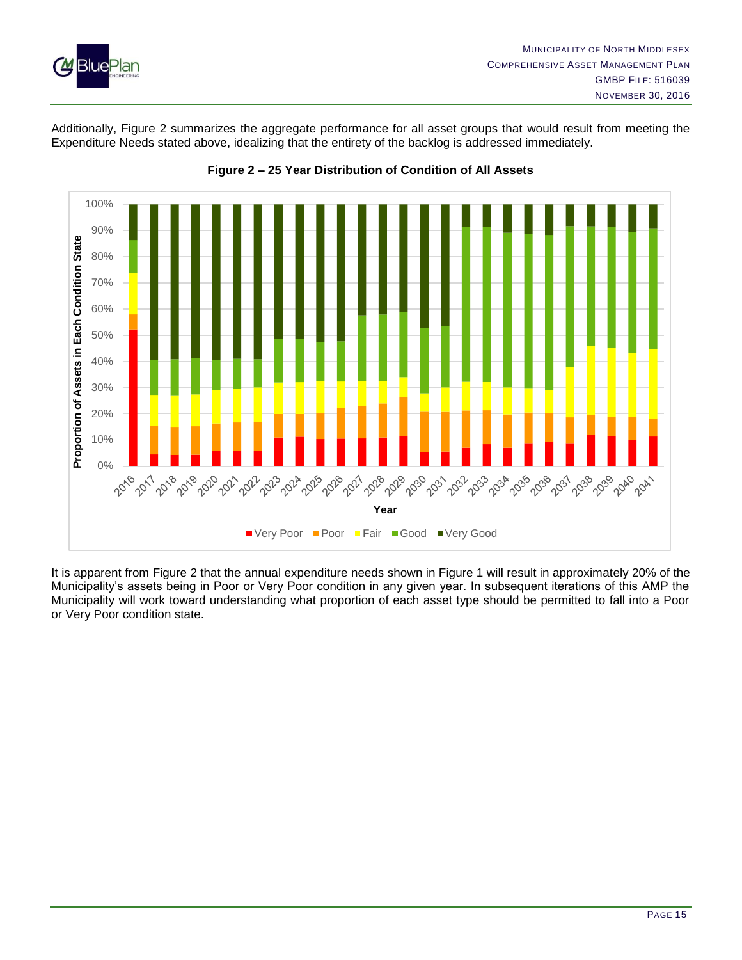

Additionally, Figure 2 summarizes the aggregate performance for all asset groups that would result from meeting the Expenditure Needs stated above, idealizing that the entirety of the backlog is addressed immediately.



**Figure 2 – 25 Year Distribution of Condition of All Assets**

It is apparent from Figure 2 that the annual expenditure needs shown in Figure 1 will result in approximately 20% of the Municipality's assets being in Poor or Very Poor condition in any given year. In subsequent iterations of this AMP the Municipality will work toward understanding what proportion of each asset type should be permitted to fall into a Poor or Very Poor condition state.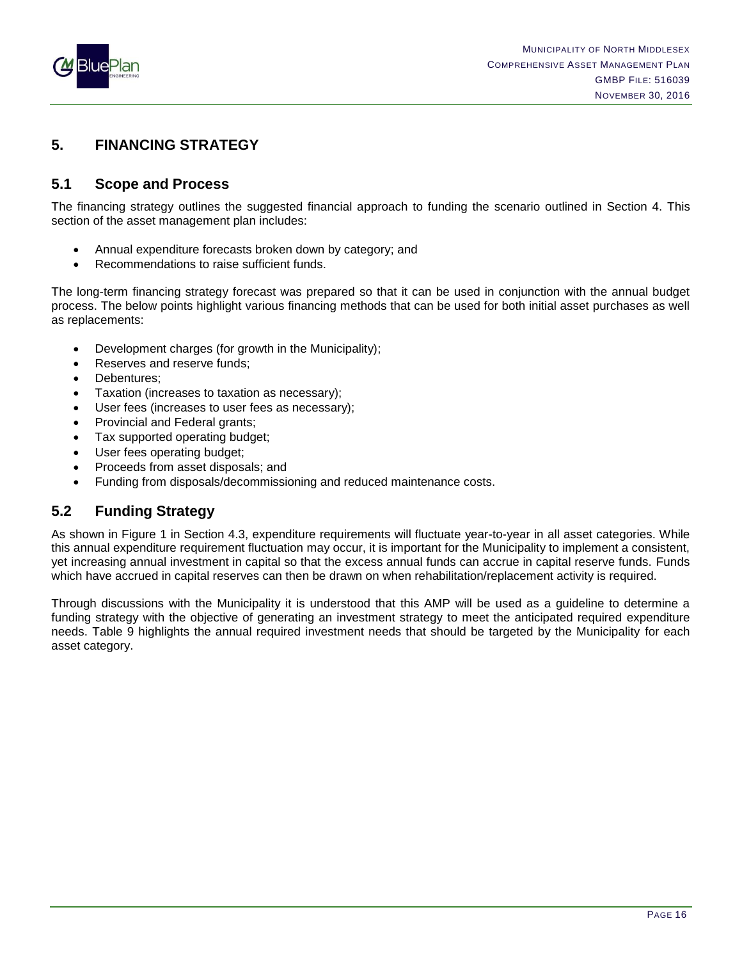

## <span id="page-17-0"></span>**5. FINANCING STRATEGY**

## <span id="page-17-1"></span>**5.1 Scope and Process**

The financing strategy outlines the suggested financial approach to funding the scenario outlined in Section 4. This section of the asset management plan includes:

- Annual expenditure forecasts broken down by category; and
- Recommendations to raise sufficient funds.

The long-term financing strategy forecast was prepared so that it can be used in conjunction with the annual budget process. The below points highlight various financing methods that can be used for both initial asset purchases as well as replacements:

- Development charges (for growth in the Municipality);
- Reserves and reserve funds;
- Debentures:
- Taxation (increases to taxation as necessary);
- User fees (increases to user fees as necessary);
- Provincial and Federal grants;
- Tax supported operating budget;
- User fees operating budget;
- Proceeds from asset disposals; and
- Funding from disposals/decommissioning and reduced maintenance costs.

## <span id="page-17-2"></span>**5.2 Funding Strategy**

As shown in Figure 1 in Section 4.3, expenditure requirements will fluctuate year-to-year in all asset categories. While this annual expenditure requirement fluctuation may occur, it is important for the Municipality to implement a consistent, yet increasing annual investment in capital so that the excess annual funds can accrue in capital reserve funds. Funds which have accrued in capital reserves can then be drawn on when rehabilitation/replacement activity is required.

Through discussions with the Municipality it is understood that this AMP will be used as a guideline to determine a funding strategy with the objective of generating an investment strategy to meet the anticipated required expenditure needs. Table 9 highlights the annual required investment needs that should be targeted by the Municipality for each asset category.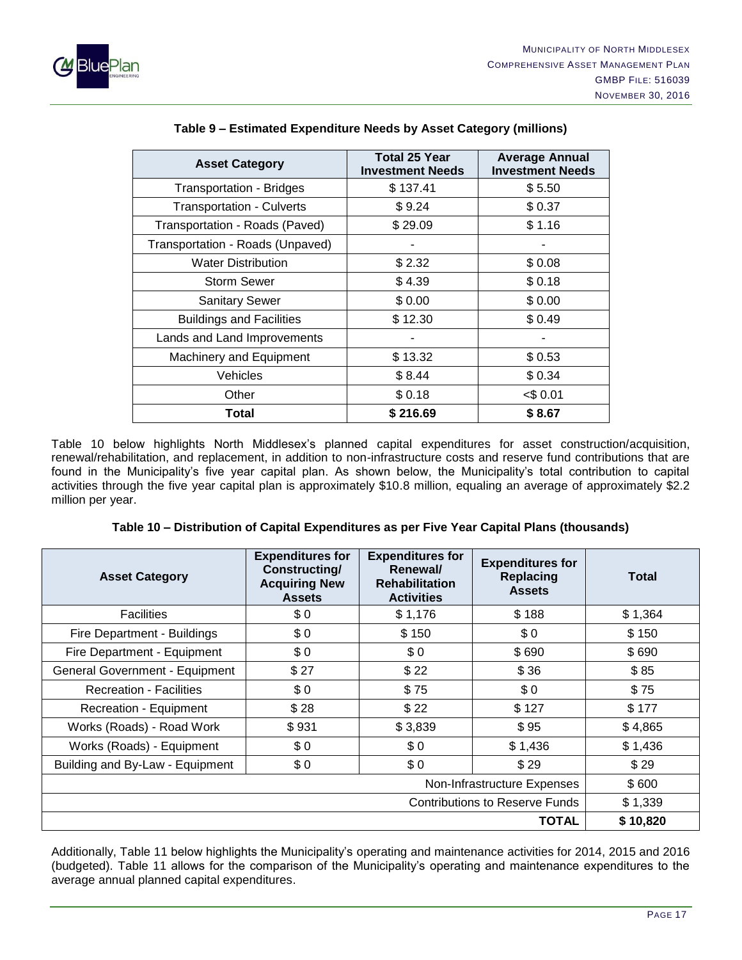



| <b>Asset Category</b>            | <b>Total 25 Year</b><br><b>Investment Needs</b> | <b>Average Annual</b><br><b>Investment Needs</b> |
|----------------------------------|-------------------------------------------------|--------------------------------------------------|
| <b>Transportation - Bridges</b>  | \$137.41                                        | \$5.50                                           |
| <b>Transportation - Culverts</b> | \$9.24                                          | \$0.37                                           |
| Transportation - Roads (Paved)   | \$29.09                                         | \$1.16                                           |
| Transportation - Roads (Unpaved) |                                                 |                                                  |
| <b>Water Distribution</b>        | \$2.32                                          | \$0.08                                           |
| <b>Storm Sewer</b>               | \$4.39                                          | \$0.18                                           |
| <b>Sanitary Sewer</b>            | \$0.00                                          | \$0.00                                           |
| <b>Buildings and Facilities</b>  | \$12.30                                         | \$0.49                                           |
| Lands and Land Improvements      |                                                 |                                                  |
| Machinery and Equipment          | \$13.32                                         | \$0.53                                           |
| Vehicles                         | \$8.44                                          | \$0.34                                           |
| Other                            | \$0.18                                          | $<$ \$ 0.01                                      |
| Total                            | \$216.69                                        | \$8.67                                           |

#### **Table 9 – Estimated Expenditure Needs by Asset Category (millions)**

Table 10 below highlights North Middlesex's planned capital expenditures for asset construction/acquisition, renewal/rehabilitation, and replacement, in addition to non-infrastructure costs and reserve fund contributions that are found in the Municipality's five year capital plan. As shown below, the Municipality's total contribution to capital activities through the five year capital plan is approximately \$10.8 million, equaling an average of approximately \$2.2 million per year.

| Table 10 – Distribution of Capital Expenditures as per Five Year Capital Plans (thousands) |  |  |  |  |
|--------------------------------------------------------------------------------------------|--|--|--|--|
|--------------------------------------------------------------------------------------------|--|--|--|--|

| <b>Asset Category</b>                 | <b>Expenditures for</b><br>Constructing/<br><b>Acquiring New</b><br><b>Assets</b> | <b>Expenditures for</b><br>Renewal/<br><b>Rehabilitation</b><br><b>Activities</b> | <b>Expenditures for</b><br><b>Replacing</b><br><b>Assets</b> | <b>Total</b> |
|---------------------------------------|-----------------------------------------------------------------------------------|-----------------------------------------------------------------------------------|--------------------------------------------------------------|--------------|
| <b>Facilities</b>                     | \$0                                                                               | \$1,176                                                                           | \$188                                                        | \$1,364      |
| Fire Department - Buildings           | \$0                                                                               | \$150                                                                             | \$0                                                          | \$150        |
| Fire Department - Equipment           | \$0                                                                               | \$0                                                                               | \$690                                                        | \$690        |
| <b>General Government - Equipment</b> | \$27                                                                              | \$22                                                                              | \$36                                                         | \$85         |
| <b>Recreation - Facilities</b>        | \$0                                                                               | \$75                                                                              | \$0                                                          | \$75         |
| Recreation - Equipment                | \$28                                                                              | \$22                                                                              | \$127                                                        | \$177        |
| Works (Roads) - Road Work             | \$931                                                                             | \$3,839                                                                           | \$95                                                         | \$4,865      |
| Works (Roads) - Equipment             | \$0                                                                               | \$0                                                                               | \$1,436                                                      | \$1,436      |
| Building and By-Law - Equipment       | \$0                                                                               | \$0                                                                               | \$29                                                         | \$29         |
| Non-Infrastructure Expenses           |                                                                                   |                                                                                   |                                                              | \$600        |
| <b>Contributions to Reserve Funds</b> |                                                                                   |                                                                                   |                                                              | \$1,339      |
| <b>TOTAL</b>                          |                                                                                   |                                                                                   |                                                              | \$10,820     |

Additionally, Table 11 below highlights the Municipality's operating and maintenance activities for 2014, 2015 and 2016 (budgeted). Table 11 allows for the comparison of the Municipality's operating and maintenance expenditures to the average annual planned capital expenditures.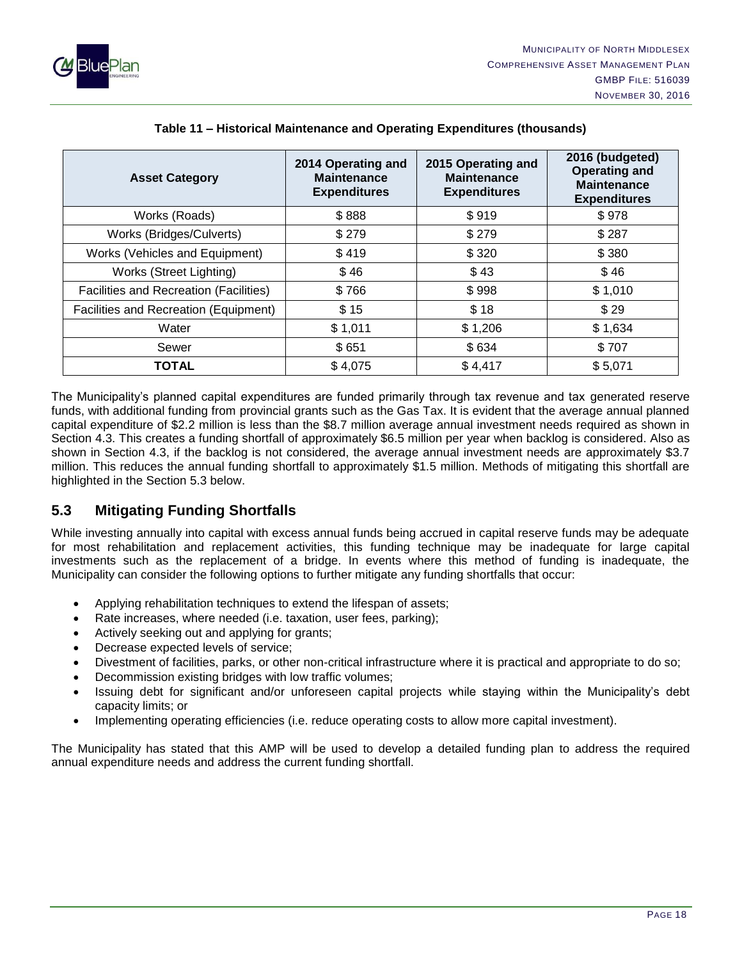

| <b>Asset Category</b>                  | 2014 Operating and<br><b>Maintenance</b><br><b>Expenditures</b> | 2015 Operating and<br><b>Maintenance</b><br><b>Expenditures</b> | 2016 (budgeted)<br><b>Operating and</b><br><b>Maintenance</b><br><b>Expenditures</b> |
|----------------------------------------|-----------------------------------------------------------------|-----------------------------------------------------------------|--------------------------------------------------------------------------------------|
| Works (Roads)                          | \$888                                                           | \$919                                                           | \$978                                                                                |
| Works (Bridges/Culverts)               | \$279                                                           | \$279                                                           | \$287                                                                                |
| Works (Vehicles and Equipment)         | \$419                                                           | \$320                                                           | \$380                                                                                |
| Works (Street Lighting)                | \$46                                                            | \$43                                                            | \$46                                                                                 |
| Facilities and Recreation (Facilities) | \$766                                                           | \$998                                                           | \$1,010                                                                              |
| Facilities and Recreation (Equipment)  | \$15                                                            | \$18                                                            | \$29                                                                                 |
| Water                                  | \$1,011                                                         | \$1,206                                                         | \$1,634                                                                              |
| Sewer                                  | \$651                                                           | \$634                                                           | \$707                                                                                |
| TOTAL                                  | \$4,075                                                         | \$4,417                                                         | \$5,071                                                                              |

#### **Table 11 – Historical Maintenance and Operating Expenditures (thousands)**

The Municipality's planned capital expenditures are funded primarily through tax revenue and tax generated reserve funds, with additional funding from provincial grants such as the Gas Tax. It is evident that the average annual planned capital expenditure of \$2.2 million is less than the \$8.7 million average annual investment needs required as shown in Section 4.3. This creates a funding shortfall of approximately \$6.5 million per year when backlog is considered. Also as shown in Section 4.3, if the backlog is not considered, the average annual investment needs are approximately \$3.7 million. This reduces the annual funding shortfall to approximately \$1.5 million. Methods of mitigating this shortfall are highlighted in the Section 5.3 below.

## <span id="page-19-0"></span>**5.3 Mitigating Funding Shortfalls**

While investing annually into capital with excess annual funds being accrued in capital reserve funds may be adequate for most rehabilitation and replacement activities, this funding technique may be inadequate for large capital investments such as the replacement of a bridge. In events where this method of funding is inadequate, the Municipality can consider the following options to further mitigate any funding shortfalls that occur:

- Applying rehabilitation techniques to extend the lifespan of assets;
- Rate increases, where needed (i.e. taxation, user fees, parking);
- Actively seeking out and applying for grants;
- Decrease expected levels of service;
- Divestment of facilities, parks, or other non-critical infrastructure where it is practical and appropriate to do so;
- Decommission existing bridges with low traffic volumes;
- Issuing debt for significant and/or unforeseen capital projects while staying within the Municipality's debt capacity limits; or
- Implementing operating efficiencies (i.e. reduce operating costs to allow more capital investment).

The Municipality has stated that this AMP will be used to develop a detailed funding plan to address the required annual expenditure needs and address the current funding shortfall.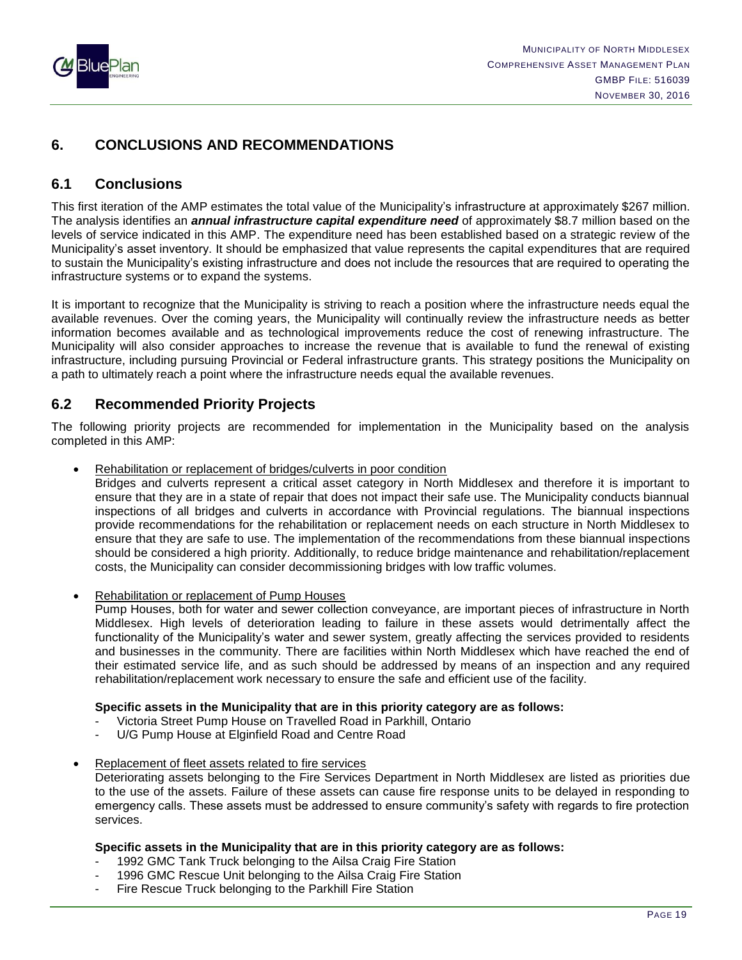

## <span id="page-20-0"></span>**6. CONCLUSIONS AND RECOMMENDATIONS**

## <span id="page-20-1"></span>**6.1 Conclusions**

This first iteration of the AMP estimates the total value of the Municipality's infrastructure at approximately \$267 million. The analysis identifies an *annual infrastructure capital expenditure need* of approximately \$8.7 million based on the levels of service indicated in this AMP. The expenditure need has been established based on a strategic review of the Municipality's asset inventory. It should be emphasized that value represents the capital expenditures that are required to sustain the Municipality's existing infrastructure and does not include the resources that are required to operating the infrastructure systems or to expand the systems.

It is important to recognize that the Municipality is striving to reach a position where the infrastructure needs equal the available revenues. Over the coming years, the Municipality will continually review the infrastructure needs as better information becomes available and as technological improvements reduce the cost of renewing infrastructure. The Municipality will also consider approaches to increase the revenue that is available to fund the renewal of existing infrastructure, including pursuing Provincial or Federal infrastructure grants. This strategy positions the Municipality on a path to ultimately reach a point where the infrastructure needs equal the available revenues.

## <span id="page-20-2"></span>**6.2 Recommended Priority Projects**

The following priority projects are recommended for implementation in the Municipality based on the analysis completed in this AMP:

Rehabilitation or replacement of bridges/culverts in poor condition

Bridges and culverts represent a critical asset category in North Middlesex and therefore it is important to ensure that they are in a state of repair that does not impact their safe use. The Municipality conducts biannual inspections of all bridges and culverts in accordance with Provincial regulations. The biannual inspections provide recommendations for the rehabilitation or replacement needs on each structure in North Middlesex to ensure that they are safe to use. The implementation of the recommendations from these biannual inspections should be considered a high priority. Additionally, to reduce bridge maintenance and rehabilitation/replacement costs, the Municipality can consider decommissioning bridges with low traffic volumes.

• Rehabilitation or replacement of Pump Houses

Pump Houses, both for water and sewer collection conveyance, are important pieces of infrastructure in North Middlesex. High levels of deterioration leading to failure in these assets would detrimentally affect the functionality of the Municipality's water and sewer system, greatly affecting the services provided to residents and businesses in the community. There are facilities within North Middlesex which have reached the end of their estimated service life, and as such should be addressed by means of an inspection and any required rehabilitation/replacement work necessary to ensure the safe and efficient use of the facility.

#### **Specific assets in the Municipality that are in this priority category are as follows:**

- Victoria Street Pump House on Travelled Road in Parkhill, Ontario
- U/G Pump House at Elginfield Road and Centre Road
- Replacement of fleet assets related to fire services

Deteriorating assets belonging to the Fire Services Department in North Middlesex are listed as priorities due to the use of the assets. Failure of these assets can cause fire response units to be delayed in responding to emergency calls. These assets must be addressed to ensure community's safety with regards to fire protection services.

#### **Specific assets in the Municipality that are in this priority category are as follows:**

- 1992 GMC Tank Truck belonging to the Ailsa Craig Fire Station
- 1996 GMC Rescue Unit belonging to the Ailsa Craig Fire Station
- Fire Rescue Truck belonging to the Parkhill Fire Station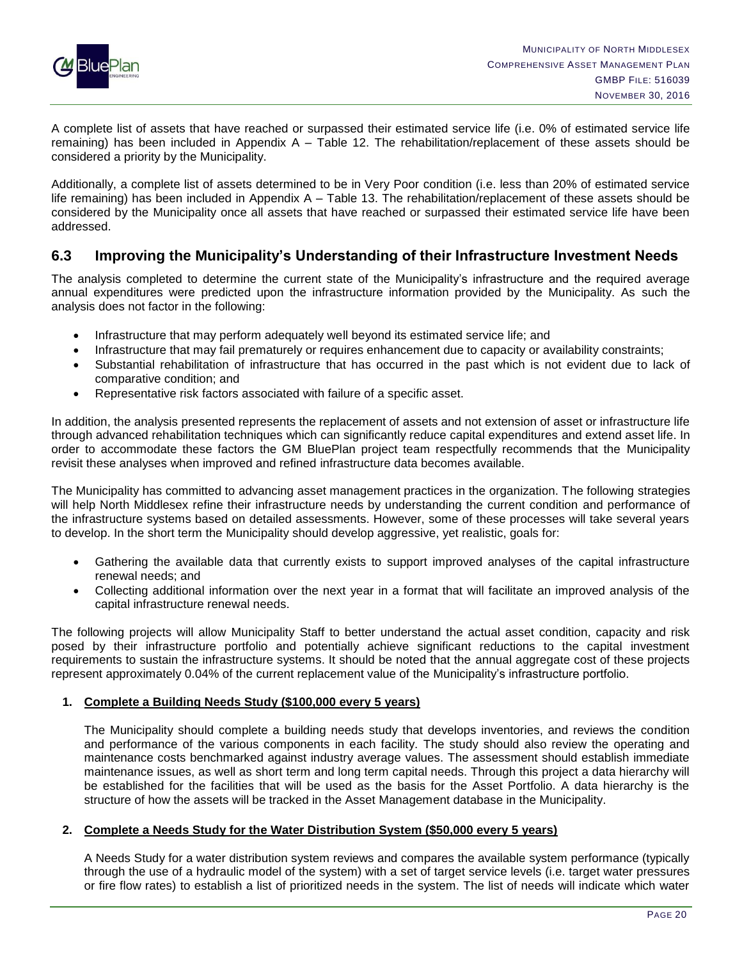

A complete list of assets that have reached or surpassed their estimated service life (i.e. 0% of estimated service life remaining) has been included in Appendix A – Table 12. The rehabilitation/replacement of these assets should be considered a priority by the Municipality.

Additionally, a complete list of assets determined to be in Very Poor condition (i.e. less than 20% of estimated service life remaining) has been included in Appendix A – Table 13. The rehabilitation/replacement of these assets should be considered by the Municipality once all assets that have reached or surpassed their estimated service life have been addressed.

## <span id="page-21-0"></span>**6.3 Improving the Municipality's Understanding of their Infrastructure Investment Needs**

The analysis completed to determine the current state of the Municipality's infrastructure and the required average annual expenditures were predicted upon the infrastructure information provided by the Municipality. As such the analysis does not factor in the following:

- Infrastructure that may perform adequately well beyond its estimated service life; and
- Infrastructure that may fail prematurely or requires enhancement due to capacity or availability constraints;
- Substantial rehabilitation of infrastructure that has occurred in the past which is not evident due to lack of comparative condition; and
- Representative risk factors associated with failure of a specific asset.

In addition, the analysis presented represents the replacement of assets and not extension of asset or infrastructure life through advanced rehabilitation techniques which can significantly reduce capital expenditures and extend asset life. In order to accommodate these factors the GM BluePlan project team respectfully recommends that the Municipality revisit these analyses when improved and refined infrastructure data becomes available.

The Municipality has committed to advancing asset management practices in the organization. The following strategies will help North Middlesex refine their infrastructure needs by understanding the current condition and performance of the infrastructure systems based on detailed assessments. However, some of these processes will take several years to develop. In the short term the Municipality should develop aggressive, yet realistic, goals for:

- Gathering the available data that currently exists to support improved analyses of the capital infrastructure renewal needs; and
- Collecting additional information over the next year in a format that will facilitate an improved analysis of the capital infrastructure renewal needs.

The following projects will allow Municipality Staff to better understand the actual asset condition, capacity and risk posed by their infrastructure portfolio and potentially achieve significant reductions to the capital investment requirements to sustain the infrastructure systems. It should be noted that the annual aggregate cost of these projects represent approximately 0.04% of the current replacement value of the Municipality's infrastructure portfolio.

#### **1. Complete a Building Needs Study (\$100,000 every 5 years)**

The Municipality should complete a building needs study that develops inventories, and reviews the condition and performance of the various components in each facility. The study should also review the operating and maintenance costs benchmarked against industry average values. The assessment should establish immediate maintenance issues, as well as short term and long term capital needs. Through this project a data hierarchy will be established for the facilities that will be used as the basis for the Asset Portfolio. A data hierarchy is the structure of how the assets will be tracked in the Asset Management database in the Municipality.

#### **2. Complete a Needs Study for the Water Distribution System (\$50,000 every 5 years)**

A Needs Study for a water distribution system reviews and compares the available system performance (typically through the use of a hydraulic model of the system) with a set of target service levels (i.e. target water pressures or fire flow rates) to establish a list of prioritized needs in the system. The list of needs will indicate which water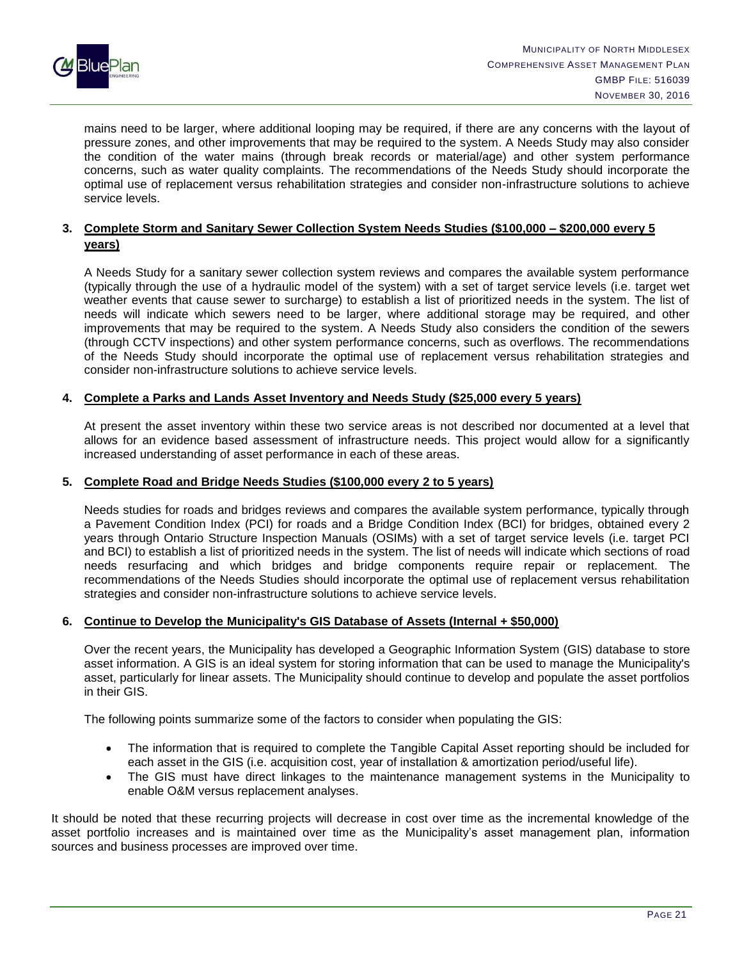

mains need to be larger, where additional looping may be required, if there are any concerns with the layout of pressure zones, and other improvements that may be required to the system. A Needs Study may also consider the condition of the water mains (through break records or material/age) and other system performance concerns, such as water quality complaints. The recommendations of the Needs Study should incorporate the optimal use of replacement versus rehabilitation strategies and consider non-infrastructure solutions to achieve service levels.

#### **3. Complete Storm and Sanitary Sewer Collection System Needs Studies (\$100,000 – \$200,000 every 5 years)**

A Needs Study for a sanitary sewer collection system reviews and compares the available system performance (typically through the use of a hydraulic model of the system) with a set of target service levels (i.e. target wet weather events that cause sewer to surcharge) to establish a list of prioritized needs in the system. The list of needs will indicate which sewers need to be larger, where additional storage may be required, and other improvements that may be required to the system. A Needs Study also considers the condition of the sewers (through CCTV inspections) and other system performance concerns, such as overflows. The recommendations of the Needs Study should incorporate the optimal use of replacement versus rehabilitation strategies and consider non-infrastructure solutions to achieve service levels.

#### **4. Complete a Parks and Lands Asset Inventory and Needs Study (\$25,000 every 5 years)**

At present the asset inventory within these two service areas is not described nor documented at a level that allows for an evidence based assessment of infrastructure needs. This project would allow for a significantly increased understanding of asset performance in each of these areas.

#### **5. Complete Road and Bridge Needs Studies (\$100,000 every 2 to 5 years)**

Needs studies for roads and bridges reviews and compares the available system performance, typically through a Pavement Condition Index (PCI) for roads and a Bridge Condition Index (BCI) for bridges, obtained every 2 years through Ontario Structure Inspection Manuals (OSIMs) with a set of target service levels (i.e. target PCI and BCI) to establish a list of prioritized needs in the system. The list of needs will indicate which sections of road needs resurfacing and which bridges and bridge components require repair or replacement. The recommendations of the Needs Studies should incorporate the optimal use of replacement versus rehabilitation strategies and consider non-infrastructure solutions to achieve service levels.

#### **6. Continue to Develop the Municipality's GIS Database of Assets (Internal + \$50,000)**

Over the recent years, the Municipality has developed a Geographic Information System (GIS) database to store asset information. A GIS is an ideal system for storing information that can be used to manage the Municipality's asset, particularly for linear assets. The Municipality should continue to develop and populate the asset portfolios in their GIS.

The following points summarize some of the factors to consider when populating the GIS:

- The information that is required to complete the Tangible Capital Asset reporting should be included for each asset in the GIS (i.e. acquisition cost, year of installation & amortization period/useful life).
- The GIS must have direct linkages to the maintenance management systems in the Municipality to enable O&M versus replacement analyses.

It should be noted that these recurring projects will decrease in cost over time as the incremental knowledge of the asset portfolio increases and is maintained over time as the Municipality's asset management plan, information sources and business processes are improved over time.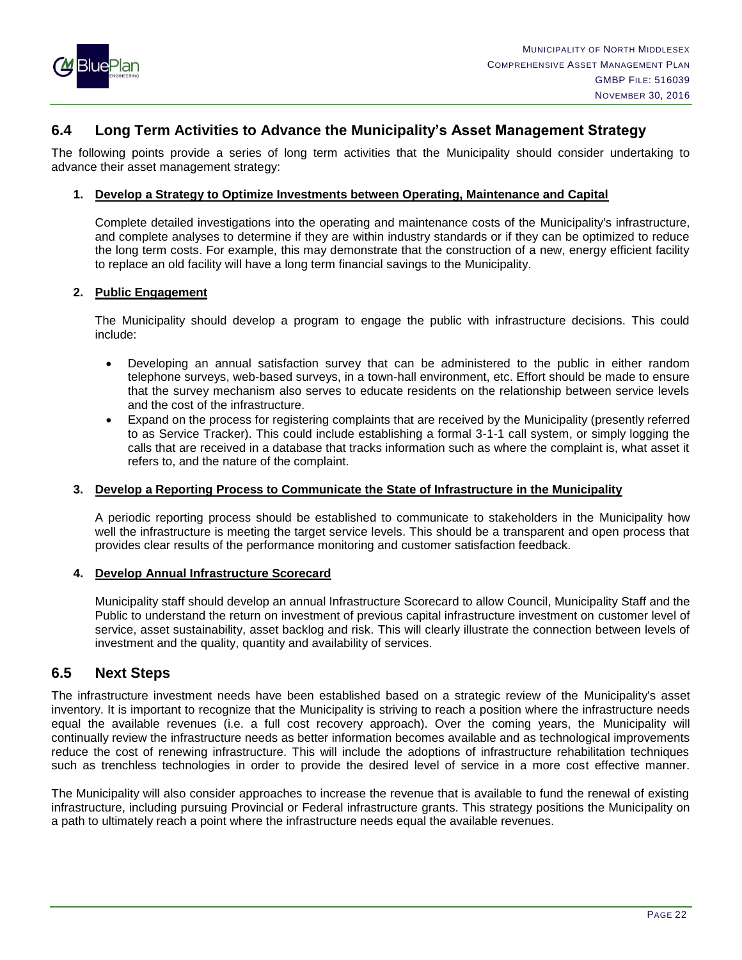

## <span id="page-23-0"></span>**6.4 Long Term Activities to Advance the Municipality's Asset Management Strategy**

The following points provide a series of long term activities that the Municipality should consider undertaking to advance their asset management strategy:

#### **1. Develop a Strategy to Optimize Investments between Operating, Maintenance and Capital**

Complete detailed investigations into the operating and maintenance costs of the Municipality's infrastructure, and complete analyses to determine if they are within industry standards or if they can be optimized to reduce the long term costs. For example, this may demonstrate that the construction of a new, energy efficient facility to replace an old facility will have a long term financial savings to the Municipality.

#### **2. Public Engagement**

The Municipality should develop a program to engage the public with infrastructure decisions. This could include:

- Developing an annual satisfaction survey that can be administered to the public in either random telephone surveys, web-based surveys, in a town-hall environment, etc. Effort should be made to ensure that the survey mechanism also serves to educate residents on the relationship between service levels and the cost of the infrastructure.
- Expand on the process for registering complaints that are received by the Municipality (presently referred to as Service Tracker). This could include establishing a formal 3-1-1 call system, or simply logging the calls that are received in a database that tracks information such as where the complaint is, what asset it refers to, and the nature of the complaint.

#### **3. Develop a Reporting Process to Communicate the State of Infrastructure in the Municipality**

A periodic reporting process should be established to communicate to stakeholders in the Municipality how well the infrastructure is meeting the target service levels. This should be a transparent and open process that provides clear results of the performance monitoring and customer satisfaction feedback.

#### **4. Develop Annual Infrastructure Scorecard**

Municipality staff should develop an annual Infrastructure Scorecard to allow Council, Municipality Staff and the Public to understand the return on investment of previous capital infrastructure investment on customer level of service, asset sustainability, asset backlog and risk. This will clearly illustrate the connection between levels of investment and the quality, quantity and availability of services.

## <span id="page-23-1"></span>**6.5 Next Steps**

The infrastructure investment needs have been established based on a strategic review of the Municipality's asset inventory. It is important to recognize that the Municipality is striving to reach a position where the infrastructure needs equal the available revenues (i.e. a full cost recovery approach). Over the coming years, the Municipality will continually review the infrastructure needs as better information becomes available and as technological improvements reduce the cost of renewing infrastructure. This will include the adoptions of infrastructure rehabilitation techniques such as trenchless technologies in order to provide the desired level of service in a more cost effective manner.

The Municipality will also consider approaches to increase the revenue that is available to fund the renewal of existing infrastructure, including pursuing Provincial or Federal infrastructure grants. This strategy positions the Municipality on a path to ultimately reach a point where the infrastructure needs equal the available revenues.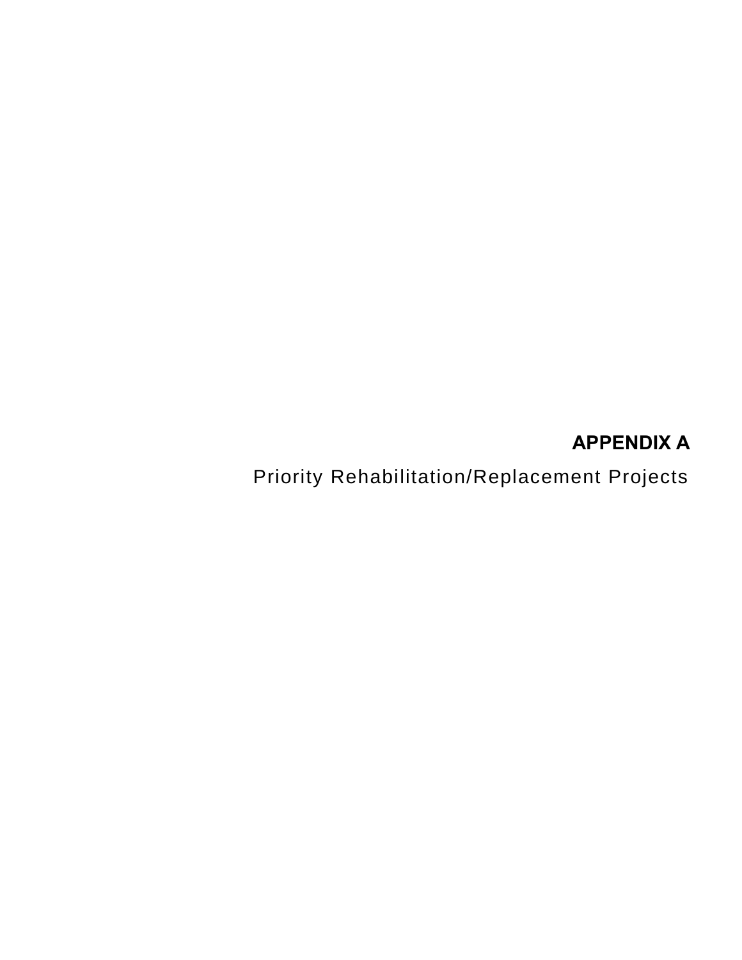## **APPENDIX A**

<span id="page-24-0"></span>Priority Rehabilitation/Replacement Projects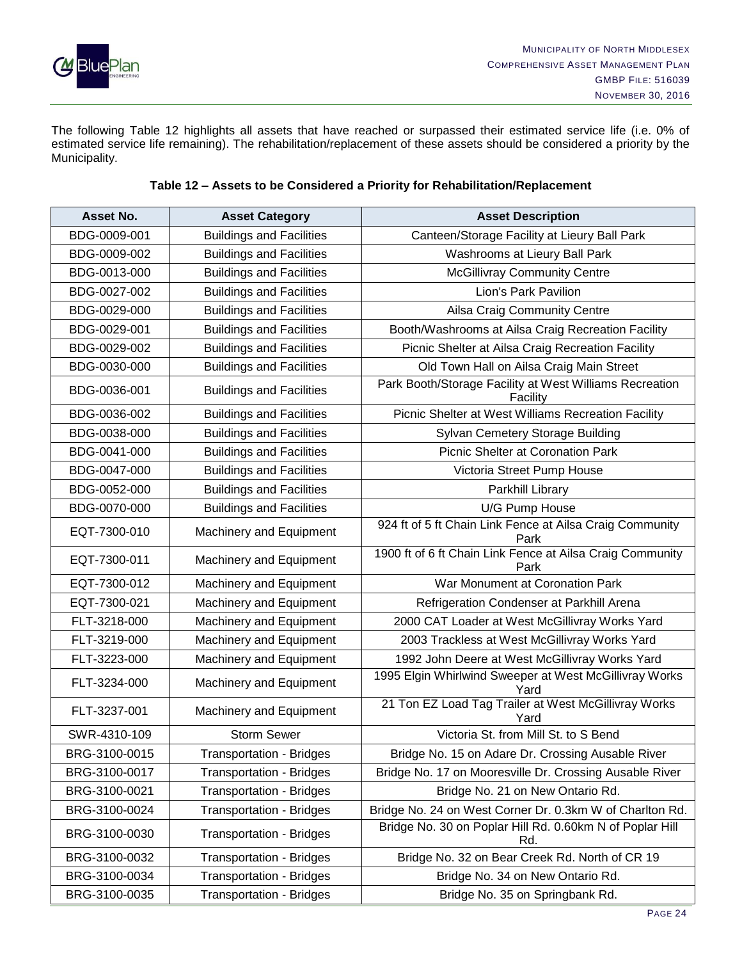

The following Table 12 highlights all assets that have reached or surpassed their estimated service life (i.e. 0% of estimated service life remaining). The rehabilitation/replacement of these assets should be considered a priority by the Municipality.

| Asset No.     | <b>Asset Category</b>           | <b>Asset Description</b>                                            |
|---------------|---------------------------------|---------------------------------------------------------------------|
| BDG-0009-001  | <b>Buildings and Facilities</b> | Canteen/Storage Facility at Lieury Ball Park                        |
| BDG-0009-002  | <b>Buildings and Facilities</b> | Washrooms at Lieury Ball Park                                       |
| BDG-0013-000  | <b>Buildings and Facilities</b> | <b>McGillivray Community Centre</b>                                 |
| BDG-0027-002  | <b>Buildings and Facilities</b> | Lion's Park Pavilion                                                |
| BDG-0029-000  | <b>Buildings and Facilities</b> | Ailsa Craig Community Centre                                        |
| BDG-0029-001  | <b>Buildings and Facilities</b> | Booth/Washrooms at Ailsa Craig Recreation Facility                  |
| BDG-0029-002  | <b>Buildings and Facilities</b> | Picnic Shelter at Ailsa Craig Recreation Facility                   |
| BDG-0030-000  | <b>Buildings and Facilities</b> | Old Town Hall on Ailsa Craig Main Street                            |
| BDG-0036-001  | <b>Buildings and Facilities</b> | Park Booth/Storage Facility at West Williams Recreation<br>Facility |
| BDG-0036-002  | <b>Buildings and Facilities</b> | Picnic Shelter at West Williams Recreation Facility                 |
| BDG-0038-000  | <b>Buildings and Facilities</b> | Sylvan Cemetery Storage Building                                    |
| BDG-0041-000  | <b>Buildings and Facilities</b> | <b>Picnic Shelter at Coronation Park</b>                            |
| BDG-0047-000  | <b>Buildings and Facilities</b> | Victoria Street Pump House                                          |
| BDG-0052-000  | <b>Buildings and Facilities</b> | Parkhill Library                                                    |
| BDG-0070-000  | <b>Buildings and Facilities</b> | U/G Pump House                                                      |
| EQT-7300-010  | Machinery and Equipment         | 924 ft of 5 ft Chain Link Fence at Ailsa Craig Community<br>Park    |
| EQT-7300-011  | Machinery and Equipment         | 1900 ft of 6 ft Chain Link Fence at Ailsa Craig Community<br>Park   |
| EQT-7300-012  | Machinery and Equipment         | War Monument at Coronation Park                                     |
| EQT-7300-021  | Machinery and Equipment         | Refrigeration Condenser at Parkhill Arena                           |
| FLT-3218-000  | Machinery and Equipment         | 2000 CAT Loader at West McGillivray Works Yard                      |
| FLT-3219-000  | Machinery and Equipment         | 2003 Trackless at West McGillivray Works Yard                       |
| FLT-3223-000  | Machinery and Equipment         | 1992 John Deere at West McGillivray Works Yard                      |
| FLT-3234-000  | Machinery and Equipment         | 1995 Elgin Whirlwind Sweeper at West McGillivray Works<br>Yard      |
| FLT-3237-001  | Machinery and Equipment         | 21 Ton EZ Load Tag Trailer at West McGillivray Works<br>Yard        |
| SWR-4310-109  | Storm Sewer                     | Victoria St. from Mill St. to S Bend                                |
| BRG-3100-0015 | <b>Transportation - Bridges</b> | Bridge No. 15 on Adare Dr. Crossing Ausable River                   |
| BRG-3100-0017 | <b>Transportation - Bridges</b> | Bridge No. 17 on Mooresville Dr. Crossing Ausable River             |
| BRG-3100-0021 | <b>Transportation - Bridges</b> | Bridge No. 21 on New Ontario Rd.                                    |
| BRG-3100-0024 | <b>Transportation - Bridges</b> | Bridge No. 24 on West Corner Dr. 0.3km W of Charlton Rd.            |
| BRG-3100-0030 | <b>Transportation - Bridges</b> | Bridge No. 30 on Poplar Hill Rd. 0.60km N of Poplar Hill<br>Rd.     |
| BRG-3100-0032 | <b>Transportation - Bridges</b> | Bridge No. 32 on Bear Creek Rd. North of CR 19                      |
| BRG-3100-0034 | <b>Transportation - Bridges</b> | Bridge No. 34 on New Ontario Rd.                                    |
| BRG-3100-0035 | <b>Transportation - Bridges</b> | Bridge No. 35 on Springbank Rd.                                     |

#### **Table 12 – Assets to be Considered a Priority for Rehabilitation/Replacement**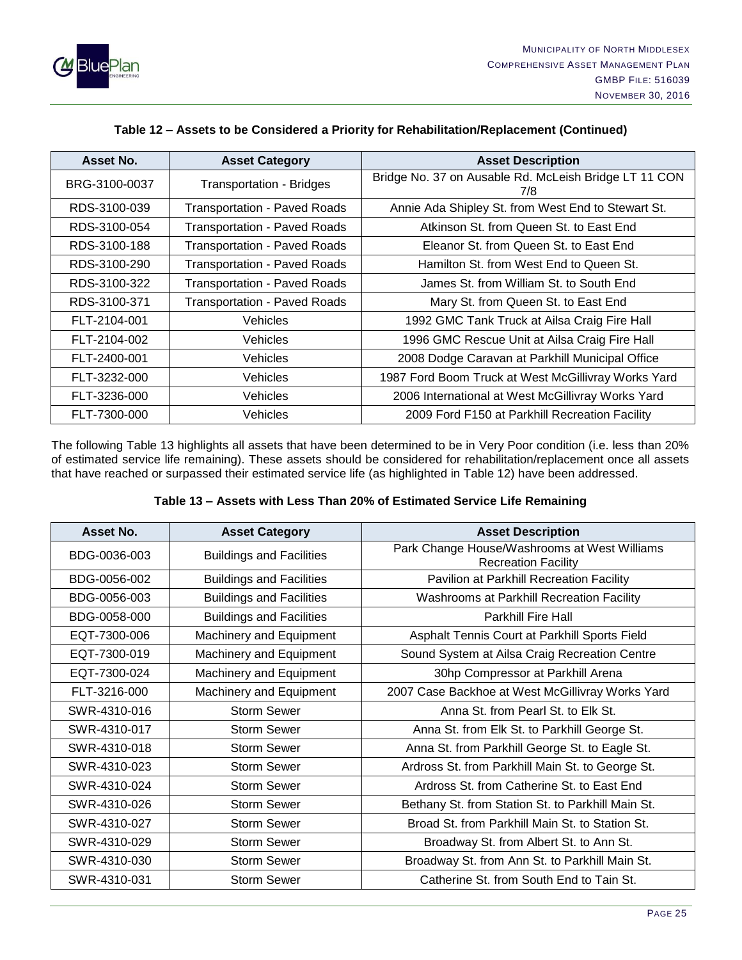

| Asset No.     | <b>Asset Category</b>               | <b>Asset Description</b>                                     |
|---------------|-------------------------------------|--------------------------------------------------------------|
| BRG-3100-0037 | <b>Transportation - Bridges</b>     | Bridge No. 37 on Ausable Rd. McLeish Bridge LT 11 CON<br>7/8 |
| RDS-3100-039  | <b>Transportation - Paved Roads</b> | Annie Ada Shipley St. from West End to Stewart St.           |
| RDS-3100-054  | <b>Transportation - Paved Roads</b> | Atkinson St. from Queen St. to East End                      |
| RDS-3100-188  | <b>Transportation - Paved Roads</b> | Eleanor St. from Queen St. to East End                       |
| RDS-3100-290  | <b>Transportation - Paved Roads</b> | Hamilton St. from West End to Queen St.                      |
| RDS-3100-322  | <b>Transportation - Paved Roads</b> | James St. from William St. to South End                      |
| RDS-3100-371  | <b>Transportation - Paved Roads</b> | Mary St. from Queen St. to East End                          |
| FLT-2104-001  | <b>Vehicles</b>                     | 1992 GMC Tank Truck at Ailsa Craig Fire Hall                 |
| FLT-2104-002  | <b>Vehicles</b>                     | 1996 GMC Rescue Unit at Ailsa Craig Fire Hall                |
| FLT-2400-001  | <b>Vehicles</b>                     | 2008 Dodge Caravan at Parkhill Municipal Office              |
| FLT-3232-000  | <b>Vehicles</b>                     | 1987 Ford Boom Truck at West McGillivray Works Yard          |
| FLT-3236-000  | Vehicles                            | 2006 International at West McGillivray Works Yard            |
| FLT-7300-000  | <b>Vehicles</b>                     | 2009 Ford F150 at Parkhill Recreation Facility               |

#### **Table 12 – Assets to be Considered a Priority for Rehabilitation/Replacement (Continued)**

The following Table 13 highlights all assets that have been determined to be in Very Poor condition (i.e. less than 20% of estimated service life remaining). These assets should be considered for rehabilitation/replacement once all assets that have reached or surpassed their estimated service life (as highlighted in Table 12) have been addressed.

| Table 13 - Assets with Less Than 20% of Estimated Service Life Remaining |  |  |
|--------------------------------------------------------------------------|--|--|
|--------------------------------------------------------------------------|--|--|

| Asset No.    | <b>Asset Category</b>           | <b>Asset Description</b>                                                   |
|--------------|---------------------------------|----------------------------------------------------------------------------|
| BDG-0036-003 | <b>Buildings and Facilities</b> | Park Change House/Washrooms at West Williams<br><b>Recreation Facility</b> |
| BDG-0056-002 | <b>Buildings and Facilities</b> | Pavilion at Parkhill Recreation Facility                                   |
| BDG-0056-003 | <b>Buildings and Facilities</b> | Washrooms at Parkhill Recreation Facility                                  |
| BDG-0058-000 | <b>Buildings and Facilities</b> | <b>Parkhill Fire Hall</b>                                                  |
| EQT-7300-006 | Machinery and Equipment         | Asphalt Tennis Court at Parkhill Sports Field                              |
| EQT-7300-019 | Machinery and Equipment         | Sound System at Ailsa Craig Recreation Centre                              |
| EQT-7300-024 | <b>Machinery and Equipment</b>  | 30hp Compressor at Parkhill Arena                                          |
| FLT-3216-000 | Machinery and Equipment         | 2007 Case Backhoe at West McGillivray Works Yard                           |
| SWR-4310-016 | <b>Storm Sewer</b>              | Anna St. from Pearl St. to Elk St.                                         |
| SWR-4310-017 | <b>Storm Sewer</b>              | Anna St. from Elk St. to Parkhill George St.                               |
| SWR-4310-018 | <b>Storm Sewer</b>              | Anna St. from Parkhill George St. to Eagle St.                             |
| SWR-4310-023 | <b>Storm Sewer</b>              | Ardross St. from Parkhill Main St. to George St.                           |
| SWR-4310-024 | <b>Storm Sewer</b>              | Ardross St. from Catherine St. to East End                                 |
| SWR-4310-026 | <b>Storm Sewer</b>              | Bethany St. from Station St. to Parkhill Main St.                          |
| SWR-4310-027 | <b>Storm Sewer</b>              | Broad St. from Parkhill Main St. to Station St.                            |
| SWR-4310-029 | <b>Storm Sewer</b>              | Broadway St. from Albert St. to Ann St.                                    |
| SWR-4310-030 | <b>Storm Sewer</b>              | Broadway St. from Ann St. to Parkhill Main St.                             |
| SWR-4310-031 | <b>Storm Sewer</b>              | Catherine St. from South End to Tain St.                                   |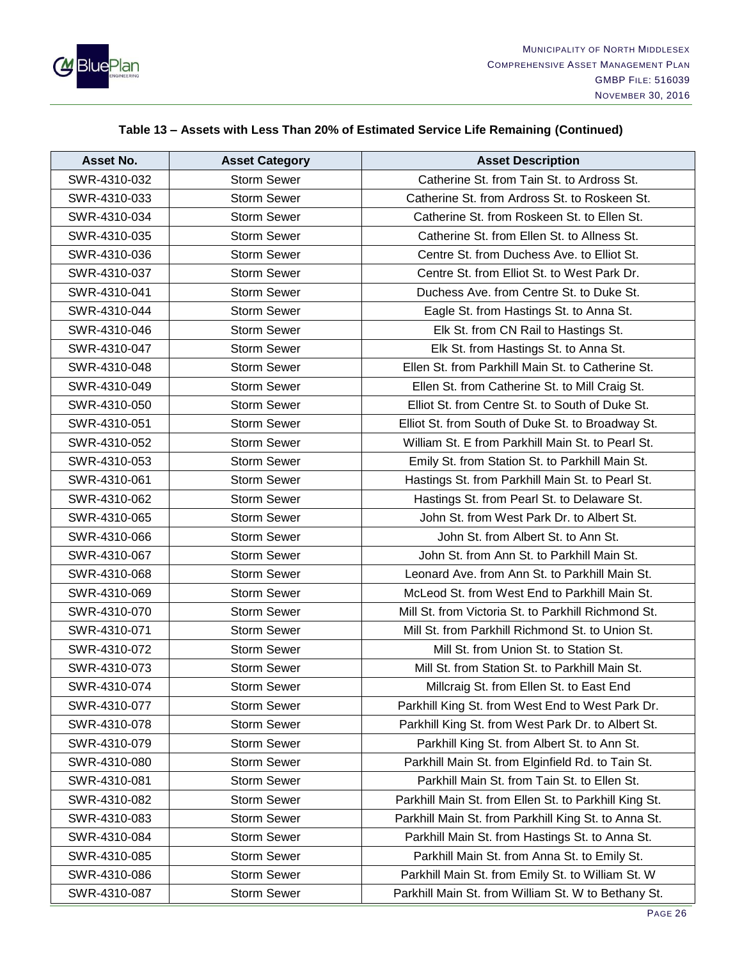

| Asset No.    | <b>Asset Category</b> | <b>Asset Description</b>                              |
|--------------|-----------------------|-------------------------------------------------------|
| SWR-4310-032 | <b>Storm Sewer</b>    | Catherine St. from Tain St. to Ardross St.            |
| SWR-4310-033 | <b>Storm Sewer</b>    | Catherine St. from Ardross St. to Roskeen St.         |
| SWR-4310-034 | <b>Storm Sewer</b>    | Catherine St. from Roskeen St. to Ellen St.           |
| SWR-4310-035 | <b>Storm Sewer</b>    | Catherine St. from Ellen St. to Allness St.           |
| SWR-4310-036 | <b>Storm Sewer</b>    | Centre St. from Duchess Ave. to Elliot St.            |
| SWR-4310-037 | <b>Storm Sewer</b>    | Centre St. from Elliot St. to West Park Dr.           |
| SWR-4310-041 | <b>Storm Sewer</b>    | Duchess Ave, from Centre St, to Duke St.              |
| SWR-4310-044 | <b>Storm Sewer</b>    | Eagle St. from Hastings St. to Anna St.               |
| SWR-4310-046 | <b>Storm Sewer</b>    | Elk St. from CN Rail to Hastings St.                  |
| SWR-4310-047 | <b>Storm Sewer</b>    | Elk St. from Hastings St. to Anna St.                 |
| SWR-4310-048 | <b>Storm Sewer</b>    | Ellen St. from Parkhill Main St. to Catherine St.     |
| SWR-4310-049 | <b>Storm Sewer</b>    | Ellen St. from Catherine St. to Mill Craig St.        |
| SWR-4310-050 | <b>Storm Sewer</b>    | Elliot St. from Centre St. to South of Duke St.       |
| SWR-4310-051 | <b>Storm Sewer</b>    | Elliot St. from South of Duke St. to Broadway St.     |
| SWR-4310-052 | <b>Storm Sewer</b>    | William St. E from Parkhill Main St. to Pearl St.     |
| SWR-4310-053 | <b>Storm Sewer</b>    | Emily St. from Station St. to Parkhill Main St.       |
| SWR-4310-061 | <b>Storm Sewer</b>    | Hastings St. from Parkhill Main St. to Pearl St.      |
| SWR-4310-062 | <b>Storm Sewer</b>    | Hastings St. from Pearl St. to Delaware St.           |
| SWR-4310-065 | <b>Storm Sewer</b>    | John St. from West Park Dr. to Albert St.             |
| SWR-4310-066 | <b>Storm Sewer</b>    | John St. from Albert St. to Ann St.                   |
| SWR-4310-067 | <b>Storm Sewer</b>    | John St. from Ann St. to Parkhill Main St.            |
| SWR-4310-068 | <b>Storm Sewer</b>    | Leonard Ave. from Ann St. to Parkhill Main St.        |
| SWR-4310-069 | <b>Storm Sewer</b>    | McLeod St. from West End to Parkhill Main St.         |
| SWR-4310-070 | <b>Storm Sewer</b>    | Mill St. from Victoria St. to Parkhill Richmond St.   |
| SWR-4310-071 | <b>Storm Sewer</b>    | Mill St. from Parkhill Richmond St. to Union St.      |
| SWR-4310-072 | <b>Storm Sewer</b>    | Mill St. from Union St. to Station St.                |
| SWR-4310-073 | <b>Storm Sewer</b>    | Mill St. from Station St. to Parkhill Main St.        |
| SWR-4310-074 | <b>Storm Sewer</b>    | Millcraig St. from Ellen St. to East End              |
| SWR-4310-077 | <b>Storm Sewer</b>    | Parkhill King St. from West End to West Park Dr.      |
| SWR-4310-078 | <b>Storm Sewer</b>    | Parkhill King St. from West Park Dr. to Albert St.    |
| SWR-4310-079 | <b>Storm Sewer</b>    | Parkhill King St. from Albert St. to Ann St.          |
| SWR-4310-080 | <b>Storm Sewer</b>    | Parkhill Main St. from Elginfield Rd. to Tain St.     |
| SWR-4310-081 | <b>Storm Sewer</b>    | Parkhill Main St. from Tain St. to Ellen St.          |
| SWR-4310-082 | <b>Storm Sewer</b>    | Parkhill Main St. from Ellen St. to Parkhill King St. |
| SWR-4310-083 | Storm Sewer           | Parkhill Main St. from Parkhill King St. to Anna St.  |
| SWR-4310-084 | <b>Storm Sewer</b>    | Parkhill Main St. from Hastings St. to Anna St.       |
| SWR-4310-085 | <b>Storm Sewer</b>    | Parkhill Main St. from Anna St. to Emily St.          |
| SWR-4310-086 | <b>Storm Sewer</b>    | Parkhill Main St. from Emily St. to William St. W     |
| SWR-4310-087 | <b>Storm Sewer</b>    | Parkhill Main St. from William St. W to Bethany St.   |

## **Table 13 – Assets with Less Than 20% of Estimated Service Life Remaining (Continued)**